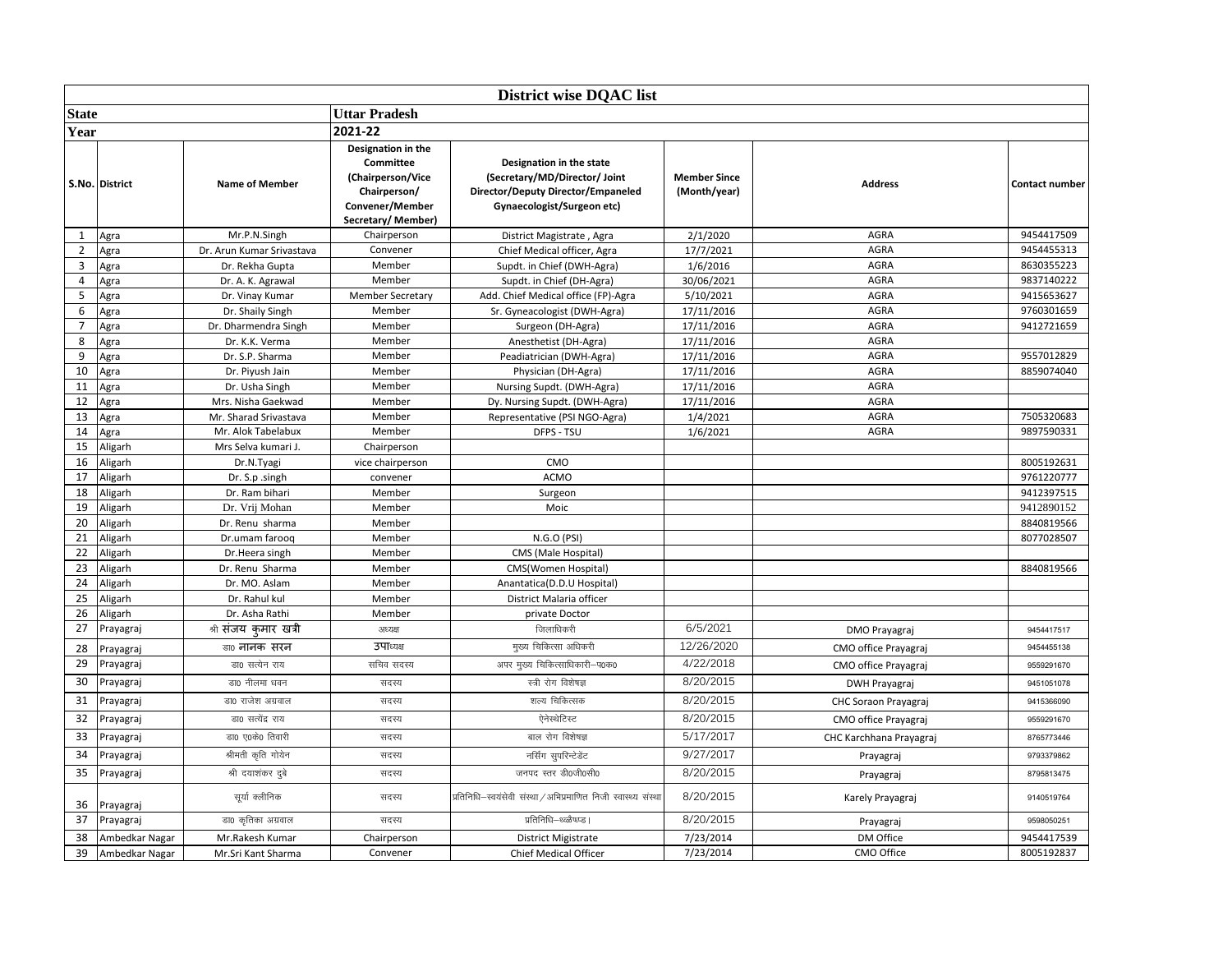|                | <b>District wise DQAC list</b> |                           |                                                                                                                     |                                                                                                                               |                                     |                         |                |  |  |  |
|----------------|--------------------------------|---------------------------|---------------------------------------------------------------------------------------------------------------------|-------------------------------------------------------------------------------------------------------------------------------|-------------------------------------|-------------------------|----------------|--|--|--|
| <b>State</b>   |                                |                           | <b>Uttar Pradesh</b>                                                                                                |                                                                                                                               |                                     |                         |                |  |  |  |
| Year           |                                |                           | 2021-22                                                                                                             |                                                                                                                               |                                     |                         |                |  |  |  |
|                | S.No. District                 | <b>Name of Member</b>     | Designation in the<br><b>Committee</b><br>(Chairperson/Vice<br>Chairperson/<br>Convener/Member<br>Secretary/Member) | Designation in the state<br>(Secretary/MD/Director/ Joint<br>Director/Deputy Director/Empaneled<br>Gynaecologist/Surgeon etc) | <b>Member Since</b><br>(Month/year) | <b>Address</b>          | Contact number |  |  |  |
| 1              | Agra                           | Mr.P.N.Singh              | Chairperson                                                                                                         | District Magistrate, Agra                                                                                                     | 2/1/2020                            | <b>AGRA</b>             | 9454417509     |  |  |  |
| $\overline{2}$ | Agra                           | Dr. Arun Kumar Srivastava | Convener                                                                                                            | Chief Medical officer, Agra                                                                                                   | 17/7/2021                           | AGRA                    | 9454455313     |  |  |  |
| 3              | Agra                           | Dr. Rekha Gupta           | Member                                                                                                              | Supdt. in Chief (DWH-Agra)                                                                                                    | 1/6/2016                            | AGRA                    | 8630355223     |  |  |  |
| 4              | Agra                           | Dr. A. K. Agrawal         | Member                                                                                                              | Supdt. in Chief (DH-Agra)                                                                                                     | 30/06/2021                          | <b>AGRA</b>             | 9837140222     |  |  |  |
| 5              | Agra                           | Dr. Vinay Kumar           | <b>Member Secretary</b>                                                                                             | Add. Chief Medical office (FP)-Agra                                                                                           | 5/10/2021                           | <b>AGRA</b>             | 9415653627     |  |  |  |
| 6              | Agra                           | Dr. Shaily Singh          | Member                                                                                                              | Sr. Gyneacologist (DWH-Agra)                                                                                                  | 17/11/2016                          | <b>AGRA</b>             | 9760301659     |  |  |  |
| $\overline{7}$ | Agra                           | Dr. Dharmendra Singh      | Member                                                                                                              | Surgeon (DH-Agra)                                                                                                             | 17/11/2016                          | <b>AGRA</b>             | 9412721659     |  |  |  |
| 8              | Agra                           | Dr. K.K. Verma            | Member                                                                                                              | Anesthetist (DH-Agra)                                                                                                         | 17/11/2016                          | AGRA                    |                |  |  |  |
| 9              | Agra                           | Dr. S.P. Sharma           | Member                                                                                                              | Peadiatrician (DWH-Agra)                                                                                                      | 17/11/2016                          | AGRA                    | 9557012829     |  |  |  |
| 10             | Agra                           | Dr. Piyush Jain           | Member                                                                                                              | Physician (DH-Agra)                                                                                                           | 17/11/2016                          | <b>AGRA</b>             | 8859074040     |  |  |  |
| 11             | Agra                           | Dr. Usha Singh            | Member                                                                                                              | Nursing Supdt. (DWH-Agra)                                                                                                     | 17/11/2016                          | <b>AGRA</b>             |                |  |  |  |
| 12             | Agra                           | Mrs. Nisha Gaekwad        | Member                                                                                                              | Dy. Nursing Supdt. (DWH-Agra)                                                                                                 | 17/11/2016                          | <b>AGRA</b>             |                |  |  |  |
| 13             | Agra                           | Mr. Sharad Srivastava     | Member                                                                                                              | Representative (PSI NGO-Agra)                                                                                                 | 1/4/2021                            | <b>AGRA</b>             | 7505320683     |  |  |  |
| 14             | Agra                           | Mr. Alok Tabelabux        | Member                                                                                                              | DFPS - TSU                                                                                                                    | 1/6/2021                            | AGRA                    | 9897590331     |  |  |  |
| 15             | Aligarh                        | Mrs Selva kumari J.       | Chairperson                                                                                                         |                                                                                                                               |                                     |                         |                |  |  |  |
| 16             | Aligarh                        | Dr.N.Tyagi                | vice chairperson                                                                                                    | CMO                                                                                                                           |                                     |                         | 8005192631     |  |  |  |
| 17             | Aligarh                        | Dr. S.p. singh            | convener                                                                                                            | <b>ACMO</b>                                                                                                                   |                                     |                         | 9761220777     |  |  |  |
| 18             | Aligarh                        | Dr. Ram bihari            | Member                                                                                                              | Surgeon                                                                                                                       |                                     |                         | 9412397515     |  |  |  |
| 19             | Aligarh                        | Dr. Vrij Mohan            | Member                                                                                                              | Moic                                                                                                                          |                                     |                         | 9412890152     |  |  |  |
| 20             | Aligarh                        | Dr. Renu sharma           | Member                                                                                                              |                                                                                                                               |                                     |                         | 8840819566     |  |  |  |
| 21             | Aligarh                        | Dr.umam farooq            | Member                                                                                                              | N.G.O (PSI)                                                                                                                   |                                     |                         | 8077028507     |  |  |  |
| 22             | Aligarh                        | Dr.Heera singh            | Member                                                                                                              | CMS (Male Hospital)                                                                                                           |                                     |                         |                |  |  |  |
| 23             | Aligarh                        | Dr. Renu Sharma           | Member                                                                                                              | CMS(Women Hospital)                                                                                                           |                                     |                         | 8840819566     |  |  |  |
| 24             | Aligarh                        | Dr. MO. Aslam             | Member                                                                                                              | Anantatica(D.D.U Hospital)                                                                                                    |                                     |                         |                |  |  |  |
| 25             | Aligarh                        | Dr. Rahul kul             | Member                                                                                                              | District Malaria officer                                                                                                      |                                     |                         |                |  |  |  |
| 26             | Aligarh                        | Dr. Asha Rathi            | Member                                                                                                              | private Doctor                                                                                                                |                                     |                         |                |  |  |  |
| 27             | Prayagraj                      | श्री संजय कुमार खत्री     | अध्यक्ष                                                                                                             | जिलाधिकरी                                                                                                                     | 6/5/2021                            | <b>DMO Prayagraj</b>    | 9454417517     |  |  |  |
| 28             | Prayagraj                      | डा0 नानक सरन              | उपाध्यक्ष                                                                                                           | मुख्य चिकित्सा अधिकरी                                                                                                         | 12/26/2020                          | CMO office Prayagraj    | 9454455138     |  |  |  |
| 29             | Prayagraj                      | डा0 सत्येन राय            | सचिव सदस्य                                                                                                          | अपर मुख्य चिकित्साधिकारी–प0क0                                                                                                 | 4/22/2018                           | CMO office Prayagraj    | 9559291670     |  |  |  |
| 30             | Prayagraj                      | डा0 नीलमा धवन             | सदस्य                                                                                                               | स्त्री रोग विशेषज्ञ                                                                                                           | 8/20/2015                           | <b>DWH Prayagraj</b>    | 9451051078     |  |  |  |
| 31             | Prayagraj                      | डा0 राजेश अग्रवाल         | सदस्य                                                                                                               | शल्य चिकित्सक                                                                                                                 | 8/20/2015                           | CHC Soraon Prayagraj    | 9415366090     |  |  |  |
| 32             | Prayagraj                      | डा0 सत्येंद्र राय         | सदस्य                                                                                                               | ऐनेस्थेटिस्ट                                                                                                                  | 8/20/2015                           | CMO office Prayagraj    | 9559291670     |  |  |  |
| 33             | Prayagraj                      | डा0 ए0के0 तिवारी          | सदस्य                                                                                                               | बाल रोग विशेषज्ञ                                                                                                              | 5/17/2017                           | CHC Karchhana Prayagraj | 8765773446     |  |  |  |
| 34             | Prayagraj                      | श्रीमती कृति गोयेन        | सदस्य                                                                                                               | नर्सिंग सुपरिन्टेडेंट                                                                                                         | 9/27/2017                           | Prayagraj               | 9793379862     |  |  |  |
| 35             | Prayagraj                      | श्री दयाशंकर दुबे         | सदस्य                                                                                                               | जनपद स्तर डी0जी0सी0                                                                                                           | 8/20/2015                           | Prayagraj               | 8795813475     |  |  |  |
| 36             | Prayagraj                      | सूर्या क्लीनिक            | सदस्य                                                                                                               | प्रतिनिधि–स्वयंसेवी संस्था / अभिप्रमाणित निजी स्वास्थ्य संस्था                                                                | 8/20/2015                           | Karely Prayagraj        | 9140519764     |  |  |  |
| 37             | Prayagraj                      | डा0 कृतिका अग्रवाल        | सदस्य                                                                                                               | प्रतिनिधि–थ्ळ्ळैष्ध्प्ड।                                                                                                      | 8/20/2015                           | Prayagraj               | 9598050251     |  |  |  |
| 38             | Ambedkar Nagar                 | Mr.Rakesh Kumar           | Chairperson                                                                                                         | <b>District Migistrate</b>                                                                                                    | 7/23/2014                           | DM Office               | 9454417539     |  |  |  |
| 39             | Ambedkar Nagar                 | Mr.Sri Kant Sharma        | Convener                                                                                                            | Chief Medical Officer                                                                                                         | 7/23/2014                           | CMO Office              | 8005192837     |  |  |  |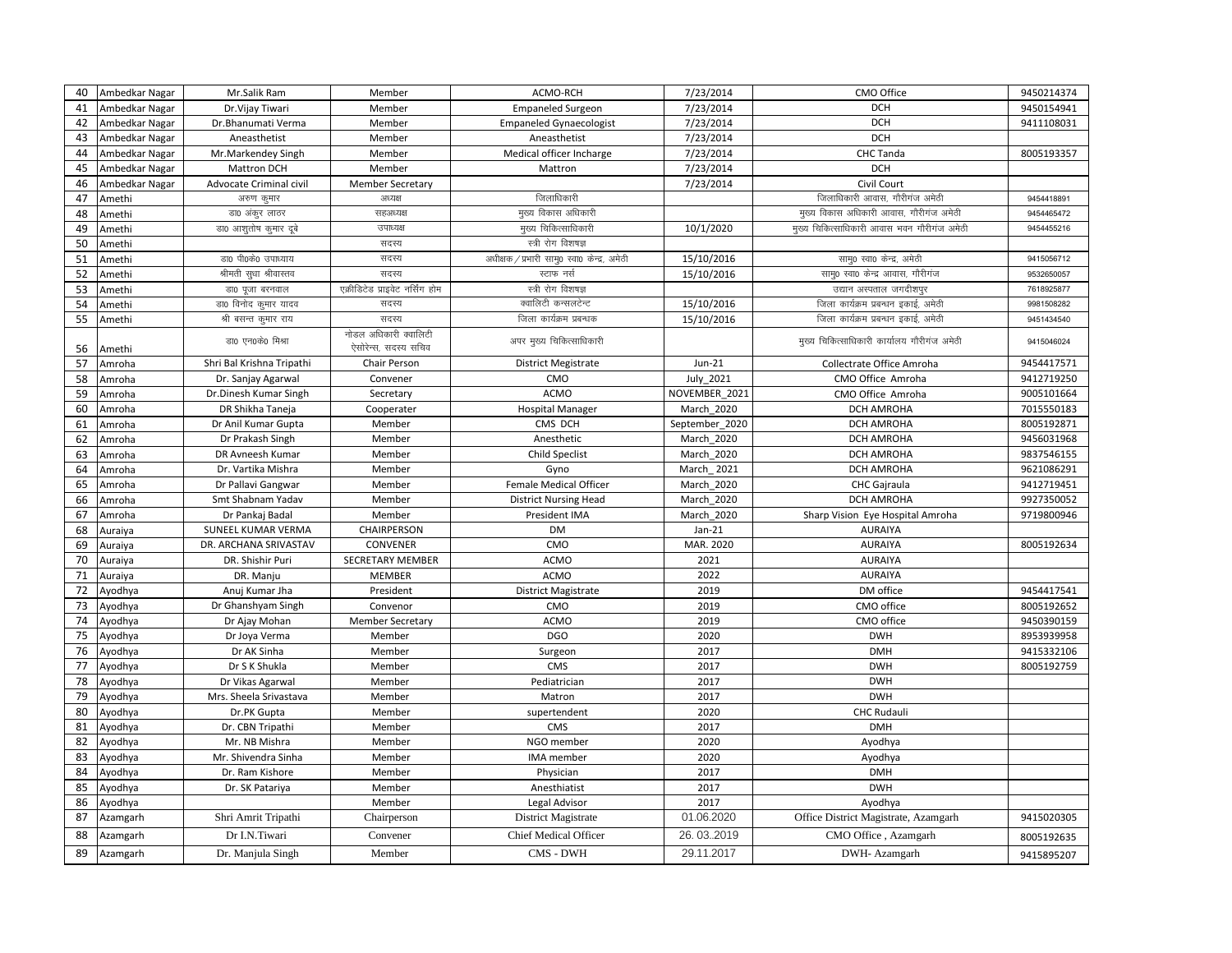| 40 | Ambedkar Nagar | Mr.Salik Ram              | Member                                        | ACMO-RCH                                     | 7/23/2014         | CMO Office                                  | 9450214374 |
|----|----------------|---------------------------|-----------------------------------------------|----------------------------------------------|-------------------|---------------------------------------------|------------|
| 41 | Ambedkar Nagar | Dr. Vijay Tiwari          | Member                                        | <b>Empaneled Surgeon</b>                     | 7/23/2014         | <b>DCH</b>                                  | 9450154941 |
| 42 | Ambedkar Nagar | Dr.Bhanumati Verma        | Member                                        | <b>Empaneled Gynaecologist</b>               | 7/23/2014         | <b>DCH</b>                                  | 9411108031 |
| 43 | Ambedkar Nagar | Aneasthetist              | Member                                        | Aneasthetist                                 | 7/23/2014         | <b>DCH</b>                                  |            |
| 44 | Ambedkar Nagar | Mr.Markendey Singh        | Member                                        | Medical officer Incharge                     | 7/23/2014         | CHC Tanda                                   | 8005193357 |
| 45 | Ambedkar Nagar | Mattron DCH               | Member                                        | Mattron                                      | 7/23/2014         | <b>DCH</b>                                  |            |
| 46 | Ambedkar Nagar | Advocate Criminal civil   | <b>Member Secretary</b>                       |                                              | 7/23/2014         | Civil Court                                 |            |
| 47 | Amethi         | अरुण कुमार                | अध्यक्ष                                       | जिलाधिकारी                                   |                   | जिलाधिकारी आवास, गौरीगंज अमेठी              | 9454418891 |
| 48 | Amethi         | डा0 अंकूर लाठर            | सहअध्यक्ष                                     | मुख्य विकास अधिकारी                          |                   | मुख्य विकास अधिकारी आवास, गौरीगंज अमेठी     | 9454465472 |
| 49 | Amethi         | डा0 आशुतोष कुमार दूबे     | उपाध्यक्ष                                     | मुख्य चिकित्साधिकारी                         | 10/1/2020         | मुख्य चिकित्साधिकारी आवास भवन गौरीगंज अमेठी | 9454455216 |
| 50 | Amethi         |                           | सदस्य                                         | स्त्री रोग विशषज्ञ                           |                   |                                             |            |
| 51 | Amethi         | डा0 पी0के0 उपाध्याय       | सदस्य                                         | अधीक्षक / प्रभारी सामु0 स्वा0 केन्द्र, अमेठी | 15/10/2016        | सामु0 स्वा0 केन्द्र, अमेठी                  | 9415056712 |
| 52 | Amethi         | श्रीमती सुधा श्रीवास्तव   | सदस्य                                         | स्टाफ नर्स                                   | 15/10/2016        | साम्0 स्वा0 केन्द्र आवास, गौरीगंज           | 9532650057 |
| 53 | Amethi         | डा0 पूजा बरनवाल           | एक्रीडिटेड प्राइवेट नर्सिंग होम               | स्त्री रोग विशषज्ञ                           |                   | उद्यान अस्पताल जगदीशपुर                     | 7618925877 |
| 54 | Amethi         | डा0 विनोद कुमार यादव      | सदस्य                                         | क्वालिटी कन्सलटेन्ट                          | 15/10/2016        | जिला कार्यक्रम प्रबन्धन इकाई, अमेठी         | 9981508282 |
| 55 | Amethi         | श्री बसन्त कुमार राय      | सदस्य                                         | जिला कार्यक्रम प्रबन्धक                      | 15/10/2016        | जिला कार्यक्रम प्रबन्धन इकाई, अमेठी         | 9451434540 |
| 56 | Amethi         | डा0 एन0के0 मिश्रा         | नोडल अधिकारी क्वालिटी<br>ऐसोरेन्स, सदस्य सचिव | अपर मुख्य चिकित्साधिकारी                     |                   | मुख्य चिकित्साधिकारी कार्यालय गौरीगंज अमेठी | 9415046024 |
| 57 | Amroha         | Shri Bal Krishna Tripathi | Chair Person                                  | <b>District Megistrate</b>                   | $Jun-21$          | Collectrate Office Amroha                   | 9454417571 |
| 58 | Amroha         | Dr. Sanjay Agarwal        | Convener                                      | CMO                                          | July 2021         | CMO Office Amroha                           | 9412719250 |
| 59 | Amroha         | Dr.Dinesh Kumar Singh     | Secretary                                     | <b>ACMO</b>                                  | NOVEMBER 2021     | CMO Office Amroha                           | 9005101664 |
| 60 | Amroha         | DR Shikha Taneja          | Cooperater                                    | <b>Hospital Manager</b>                      | March 2020        | <b>DCH AMROHA</b>                           | 7015550183 |
| 61 | Amroha         | Dr Anil Kumar Gupta       | Member                                        | CMS DCH                                      | September 2020    | <b>DCH AMROHA</b>                           | 8005192871 |
| 62 | Amroha         | Dr Prakash Singh          | Member                                        | Anesthetic                                   | March 2020        | <b>DCH AMROHA</b>                           | 9456031968 |
| 63 | Amroha         | DR Avneesh Kumar          | Member                                        | Child Speclist                               | March 2020        | DCH AMROHA                                  | 9837546155 |
| 64 | Amroha         | Dr. Vartika Mishra        | Member                                        | Gyno                                         | March 2021        | <b>DCH AMROHA</b>                           | 9621086291 |
| 65 | Amroha         | Dr Pallavi Gangwar        | Member                                        | <b>Female Medical Officer</b>                | <b>March 2020</b> | <b>CHC</b> Gajraula                         | 9412719451 |
| 66 | Amroha         | Smt Shabnam Yadav         | Member                                        | <b>District Nursing Head</b>                 | March 2020        | <b>DCH AMROHA</b>                           | 9927350052 |
| 67 | Amroha         | Dr Pankaj Badal           | Member                                        | President IMA                                | March 2020        | Sharp Vision Eye Hospital Amroha            | 9719800946 |
| 68 | Auraiya        | SUNEEL KUMAR VERMA        | CHAIRPERSON                                   | <b>DM</b>                                    | $Jan-21$          | <b>AURAIYA</b>                              |            |
| 69 | Auraiya        | DR. ARCHANA SRIVASTAV     | CONVENER                                      | CMO                                          | MAR. 2020         | <b>AURAIYA</b>                              | 8005192634 |
| 70 | Auraiya        | DR. Shishir Puri          | SECRETARY MEMBER                              | <b>ACMO</b>                                  | 2021              | <b>AURAIYA</b>                              |            |
| 71 | Auraiya        | DR. Manju                 | MEMBER                                        | <b>ACMO</b>                                  | 2022              | <b>AURAIYA</b>                              |            |
| 72 | Ayodhya        | Anuj Kumar Jha            | President                                     | <b>District Magistrate</b>                   | 2019              | DM office                                   | 9454417541 |
| 73 | Ayodhya        | Dr Ghanshyam Singh        | Convenor                                      | CMO                                          | 2019              | CMO office                                  | 8005192652 |
| 74 | Ayodhya        | Dr Ajay Mohan             | <b>Member Secretary</b>                       | <b>ACMO</b>                                  | 2019              | CMO office                                  | 9450390159 |
| 75 | Ayodhya        | Dr Joya Verma             | Member                                        | <b>DGO</b>                                   | 2020              | <b>DWH</b>                                  | 8953939958 |
| 76 | Ayodhya        | Dr AK Sinha               | Member                                        | Surgeon                                      | 2017              | <b>DMH</b>                                  | 9415332106 |
| 77 | Ayodhya        | Dr S K Shukla             | Member                                        | CMS                                          | 2017              | <b>DWH</b>                                  | 8005192759 |
| 78 | Ayodhya        | Dr Vikas Agarwal          | Member                                        | Pediatrician                                 | 2017              | <b>DWH</b>                                  |            |
| 79 | Ayodhya        | Mrs. Sheela Srivastava    | Member                                        | Matron                                       | 2017              | <b>DWH</b>                                  |            |
| 80 | Ayodhya        | Dr.PK Gupta               | Member                                        | supertendent                                 | 2020              | <b>CHC Rudauli</b>                          |            |
| 81 | Ayodhya        | Dr. CBN Tripathi          | Member                                        | <b>CMS</b>                                   | 2017              | <b>DMH</b>                                  |            |
| 82 | Ayodhya        | Mr. NB Mishra             | Member                                        | NGO member                                   | 2020              | Ayodhya                                     |            |
| 83 | Ayodhya        | Mr. Shivendra Sinha       | Member                                        | IMA member                                   | 2020              | Ayodhya                                     |            |
| 84 | Ayodhya        | Dr. Ram Kishore           | Member                                        | Physician                                    | 2017              | <b>DMH</b>                                  |            |
| 85 | Ayodhya        | Dr. SK Patariya           | Member                                        | Anesthiatist                                 | 2017              | <b>DWH</b>                                  |            |
| 86 | Ayodhya        |                           | Member                                        | Legal Advisor                                | 2017              | Ayodhya                                     |            |
| 87 | Azamgarh       | Shri Amrit Tripathi       | Chairperson                                   | District Magistrate                          | 01.06.2020        | Office District Magistrate, Azamgarh        | 9415020305 |
| 88 | Azamgarh       | Dr I.N.Tiwari             | Convener                                      | <b>Chief Medical Officer</b>                 | 26.03.2019        | CMO Office, Azamgarh                        | 8005192635 |
| 89 | Azamgarh       | Dr. Manjula Singh         | Member                                        | CMS - DWH                                    | 29.11.2017        | DWH- Azamgarh                               | 9415895207 |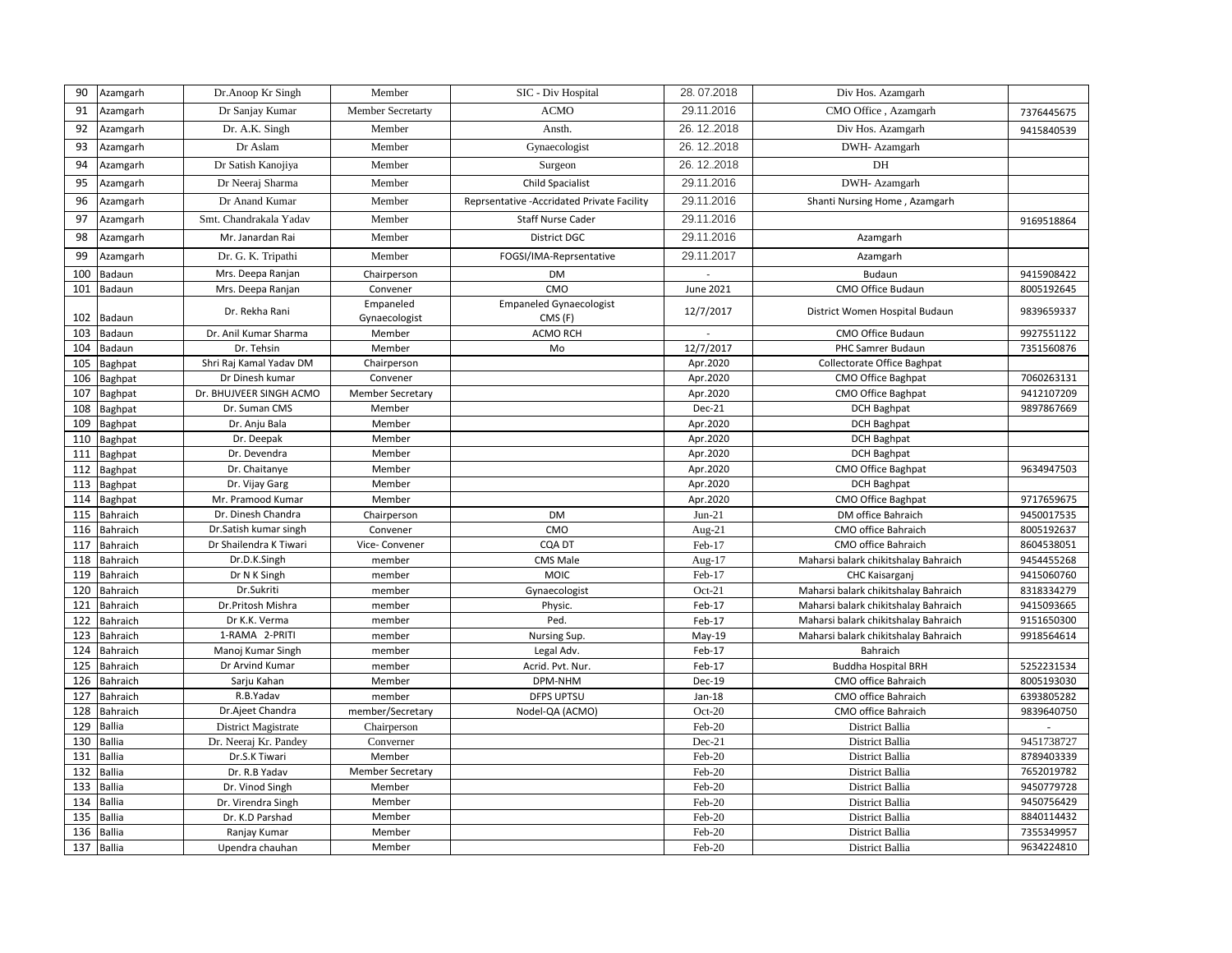| 90  | Azamgarh      | Dr.Anoop Kr Singh       | Member                  | SIC - Div Hospital                          | 28.07.2018           | Div Hos. Azamgarh                    |            |
|-----|---------------|-------------------------|-------------------------|---------------------------------------------|----------------------|--------------------------------------|------------|
| 91  | Azamgarh      | Dr Sanjay Kumar         | Member Secretarty       | <b>ACMO</b>                                 | 29.11.2016           | CMO Office, Azamgarh                 | 7376445675 |
| 92  | Azamgarh      | Dr. A.K. Singh          | Member                  | Ansth.                                      | 26.12.2018           | Div Hos. Azamgarh                    | 9415840539 |
| 93  | Azamgarh      | Dr Aslam                | Member                  | Gynaecologist                               | 26.12.2018           | DWH- Azamgarh                        |            |
| 94  | Azamgarh      | Dr Satish Kanojiya      | Member                  | Surgeon                                     | 26.12.2018           | DH                                   |            |
| 95  | Azamgarh      | Dr Neeraj Sharma        | Member                  | Child Spacialist                            | 29.11.2016           | DWH- Azamgarh                        |            |
| 96  | Azamgarh      | Dr Anand Kumar          | Member                  | Reprsentative - Accridated Private Facility | 29.11.2016           | Shanti Nursing Home, Azamgarh        |            |
| 97  | Azamgarh      | Smt. Chandrakala Yadav  | Member                  | <b>Staff Nurse Cader</b>                    | 29.11.2016           |                                      | 9169518864 |
| 98  | Azamgarh      | Mr. Janardan Rai        | Member                  | <b>District DGC</b>                         | 29.11.2016           | Azamgarh                             |            |
| 99  | Azamgarh      | Dr. G. K. Tripathi      | Member                  | FOGSI/IMA-Reprsentative                     | 29.11.2017           | Azamgarh                             |            |
| 100 | Badaun        | Mrs. Deepa Ranjan       | Chairperson             | DM                                          |                      | Budaun                               | 9415908422 |
| 101 | Badaun        | Mrs. Deepa Ranjan       | Convener                | CMO                                         | <b>June 2021</b>     | CMO Office Budaun                    | 8005192645 |
|     |               |                         | Empaneled               | <b>Empaneled Gynaecologist</b>              |                      |                                      |            |
| 102 | Badaun        | Dr. Rekha Rani          | Gynaecologist           | CMS (F)                                     | 12/7/2017            | District Women Hospital Budaun       | 9839659337 |
| 103 | Badaun        | Dr. Anil Kumar Sharma   | Member                  | ACMO RCH                                    |                      | CMO Office Budaun                    | 9927551122 |
| 104 | Badaun        | Dr. Tehsin              | Member                  | Mo                                          | $\frac{1}{2}/7/2017$ | PHC Samrer Budaun                    | 7351560876 |
| 105 | Baghpat       | Shri Raj Kamal Yadav DM | Chairperson             |                                             | Apr.2020             | Collectorate Office Baghpat          |            |
| 106 | Baghpat       | Dr Dinesh kumar         | Convener                |                                             | Apr.2020             | <b>CMO Office Baghpat</b>            | 7060263131 |
| 107 | Baghpat       | Dr. BHUJVEER SINGH ACMO | <b>Member Secretary</b> |                                             | Apr.2020             | CMO Office Baghpat                   | 9412107209 |
| 108 | Baghpat       | Dr. Suman CMS           | Member                  |                                             | Dec-21               | <b>DCH Baghpat</b>                   | 9897867669 |
| 109 | Baghpat       | Dr. Anju Bala           | Member                  |                                             | Apr.2020             | <b>DCH Baghpat</b>                   |            |
| 110 | Baghpat       | Dr. Deepak              | Member                  |                                             | Apr.2020             | <b>DCH Baghpat</b>                   |            |
| 111 | Baghpat       | Dr. Devendra            | Member                  |                                             | Apr.2020             | <b>DCH Baghpat</b>                   |            |
| 112 | Baghpat       | Dr. Chaitanye           | Member                  |                                             | Apr.2020             | <b>CMO Office Baghpat</b>            | 9634947503 |
| 113 | Baghpat       | Dr. Vijay Garg          | Member                  |                                             | Apr.2020             | <b>DCH Baghpat</b>                   |            |
| 114 | Baghpat       | Mr. Pramood Kumar       | Member                  |                                             | Apr.2020             | CMO Office Baghpat                   | 9717659675 |
| 115 | Bahraich      | Dr. Dinesh Chandra      | Chairperson             | DM                                          | $Jun-21$             | DM office Bahraich                   | 9450017535 |
| 116 | Bahraich      | Dr.Satish kumar singh   | Convener                | CMO                                         | Aug- $21$            | CMO office Bahraich                  | 8005192637 |
| 117 | Bahraich      | Dr Shailendra K Tiwari  | Vice- Convener          | CQA DT                                      | Feb-17               | CMO office Bahraich                  | 8604538051 |
| 118 | Bahraich      | Dr.D.K.Singh            | member                  | <b>CMS Male</b>                             | Aug-17               | Maharsi balark chikitshalay Bahraich | 9454455268 |
| 119 | Bahraich      | Dr N K Singh            | member                  | <b>MOIC</b>                                 | Feb-17               | CHC Kaisarganj                       | 9415060760 |
| 120 | Bahraich      | Dr.Sukriti              | member                  | Gynaecologist                               | $Oct-21$             | Maharsi balark chikitshalay Bahraich | 8318334279 |
| 121 | Bahraich      | Dr.Pritosh Mishra       | member                  | Physic.                                     | Feb-17               | Maharsi balark chikitshalay Bahraich | 9415093665 |
| 122 | Bahraich      | Dr K.K. Verma           | member                  | Ped.                                        | Feb-17               | Maharsi balark chikitshalay Bahraich | 9151650300 |
| 123 | Bahraich      | 1-RAMA 2-PRITI          | member                  | Nursing Sup.                                | $May-19$             | Maharsi balark chikitshalay Bahraich | 9918564614 |
| 124 | Bahraich      | Manoj Kumar Singh       | member                  | Legal Adv.                                  | Feb-17               | Bahraich                             |            |
| 125 | Bahraich      | Dr Arvind Kumar         | member                  | Acrid. Pvt. Nur.                            | Feb-17               | <b>Buddha Hospital BRH</b>           | 5252231534 |
| 126 | Bahraich      | Sarju Kahan             | Member                  | DPM-NHM                                     | Dec-19               | CMO office Bahraich                  | 8005193030 |
| 127 | Bahraich      | R.B.Yadav               | member                  | <b>DFPS UPTSU</b>                           | $Jan-18$             | CMO office Bahraich                  | 6393805282 |
| 128 | Bahraich      | Dr.Ajeet Chandra        | member/Secretary        | Nodel-QA (ACMO)                             | Oct-20               | CMO office Bahraich                  | 9839640750 |
| 129 | <b>Ballia</b> | District Magistrate     | Chairperson             |                                             | Feb-20               | District Ballia                      |            |
| 130 | Ballia        | Dr. Neeraj Kr. Pandey   | Converner               |                                             | $Dec-21$             | District Ballia                      | 9451738727 |
| 131 | <b>Ballia</b> | Dr.S.K Tiwari           | Member                  |                                             | Feb-20               | <b>District Ballia</b>               | 8789403339 |
| 132 | <b>Ballia</b> | Dr. R.B Yadav           | <b>Member Secretary</b> |                                             | Feb-20               | District Ballia                      | 7652019782 |
| 133 | <b>Ballia</b> | Dr. Vinod Singh         | Member                  |                                             | Feb-20               | District Ballia                      | 9450779728 |
| 134 | <b>Ballia</b> | Dr. Virendra Singh      | Member                  |                                             | Feb-20               | District Ballia                      | 9450756429 |
| 135 | <b>Ballia</b> | Dr. K.D Parshad         | Member                  |                                             | Feb-20               | <b>District Ballia</b>               | 8840114432 |
| 136 | <b>Ballia</b> | Ranjay Kumar            | Member                  |                                             | Feb-20               | District Ballia                      | 7355349957 |
| 137 | <b>Ballia</b> | Upendra chauhan         | Member                  |                                             | Feb-20               | District Ballia                      | 9634224810 |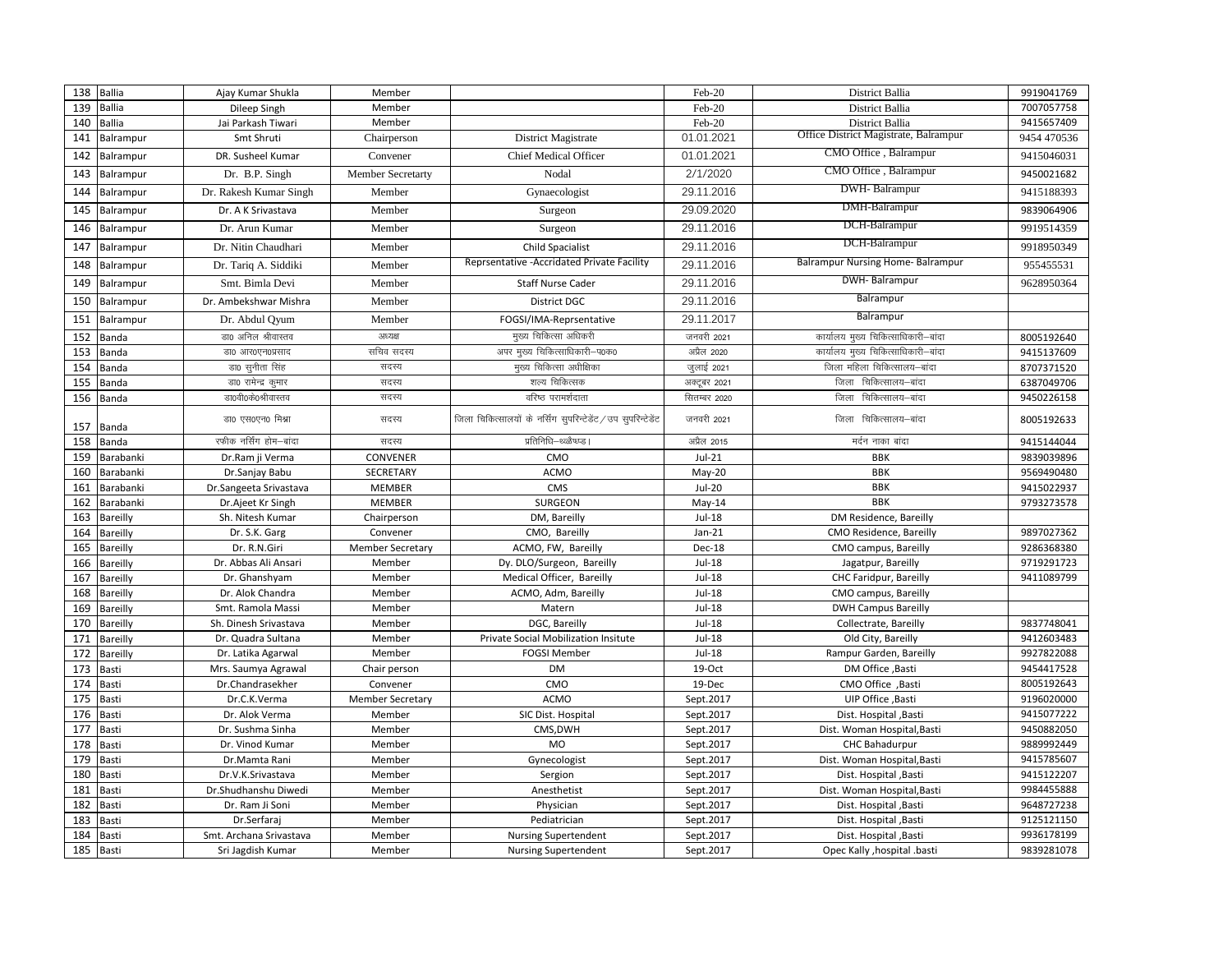| 138 | <b>Ballia</b> | Ajay Kumar Shukla       | Member                  |                                                               | Feb-20        | <b>District Ballia</b>                | 9919041769  |
|-----|---------------|-------------------------|-------------------------|---------------------------------------------------------------|---------------|---------------------------------------|-------------|
| 139 | <b>Ballia</b> | Dileep Singh            | Member                  |                                                               | Feb-20        | <b>District Ballia</b>                | 7007057758  |
| 140 | <b>Ballia</b> | Jai Parkash Tiwari      | Member                  |                                                               | Feb-20        | District Ballia                       | 9415657409  |
| 141 | Balrampur     | Smt Shruti              | Chairperson             | District Magistrate                                           | 01.01.2021    | Office District Magistrate, Balrampur | 9454 470536 |
| 142 | Balrampur     | DR. Susheel Kumar       | Convener                | <b>Chief Medical Officer</b>                                  | 01.01.2021    | CMO Office, Balrampur                 | 9415046031  |
| 143 | Balrampur     | Dr. B.P. Singh          | Member Secretarty       | Nodal                                                         | 2/1/2020      | CMO Office, Balrampur                 | 9450021682  |
| 144 | Balrampur     | Dr. Rakesh Kumar Singh  | Member                  | Gynaecologist                                                 | 29.11.2016    | DWH-Balrampur                         | 9415188393  |
| 145 | Balrampur     | Dr. A K Srivastava      | Member                  | Surgeon                                                       | 29.09.2020    | DMH-Balrampur                         | 9839064906  |
| 146 | Balrampur     | Dr. Arun Kumar          | Member                  | Surgeon                                                       | 29.11.2016    | DCH-Balrampur                         | 9919514359  |
| 147 | Balrampur     | Dr. Nitin Chaudhari     | Member                  | Child Spacialist                                              | 29.11.2016    | DCH-Balrampur                         | 9918950349  |
| 148 | Balrampur     | Dr. Tariq A. Siddiki    | Member                  | Reprsentative - Accridated Private Facility                   | 29.11.2016    | Balrampur Nursing Home-Balrampur      | 955455531   |
| 149 | Balrampur     | Smt. Bimla Devi         | Member                  | <b>Staff Nurse Cader</b>                                      | 29.11.2016    | DWH-Balrampur                         | 9628950364  |
| 150 | Balrampur     | Dr. Ambekshwar Mishra   | Member                  | <b>District DGC</b>                                           | 29.11.2016    | Balrampur                             |             |
| 151 | Balrampur     | Dr. Abdul Qyum          | Member                  | FOGSI/IMA-Reprsentative                                       | 29.11.2017    | Balrampur                             |             |
| 152 | Banda         | डा0 अनिल श्रीवास्तव     | अध्यक्ष                 | मुख्य चिकित्सा अधिकरी                                         | जनवरी 2021    | कार्यालय मुख्य चिकित्साधिकारी–बांदा   | 8005192640  |
| 153 | Banda         | डा0 आर0एन0प्रसाद        | सचिव सदस्य              | अपर मुख्य चिकित्साधिकारी-प0क0                                 | अप्रैल 2020   | कार्यालय मुख्य चिकित्साधिकारी–बांदा   | 9415137609  |
| 154 | Banda         | डा0 सुनीता सिंह         | सदस्य                   | मुख्य चिकित्सा अधीक्षिका                                      | जुलाई 2021    | जिला महिला चिकित्सालय–बांदा           | 8707371520  |
| 155 | Banda         | डा0 रामेन्द्र कुमार     | सदस्य                   | -<br>शल्य चिकित्सक                                            | अक्टूबर 2021  | जिला चिकित्सालय-बांदा                 | 6387049706  |
| 156 | Banda         | ज्ञा0वी0के0श्रीवास्तव   | सदस्य                   | वरिष्ठ परामर्शदाता                                            | सितम्बर 2020  | जिला चिकित्सालय-बांदा                 | 9450226158  |
| 157 | Banda         | डा0 एस0एन0 मिश्रा       | सदस्य                   | जिला चिकित्सालयों के नर्सिंग सुपरिन्टेडेंट / उप सुपरिन्टेडेंट | जनवरी 2021    | जिला चिकित्सालय-बांदा                 | 8005192633  |
| 158 | Banda         | रफीक नर्सिंग होम–बांदा  | सदस्य                   | प्रतिनिधि–थ्ळ्ळैष्ध्प्ड ।                                     | अप्रैल 2015   | मर्दन नाका बांदा                      | 9415144044  |
| 159 | Barabanki     | Dr.Ram ji Verma         | CONVENER                | CMO                                                           | $Jul-21$      | <b>BBK</b>                            | 9839039896  |
| 160 | Barabanki     | Dr.Sanjay Babu          | SECRETARY               | <b>ACMO</b>                                                   | May-20        | <b>BBK</b>                            | 9569490480  |
| 161 | Barabanki     | Dr.Sangeeta Srivastava  | <b>MEMBER</b>           | CMS                                                           | <b>Jul-20</b> | <b>BBK</b>                            | 9415022937  |
| 162 | Barabanki     | Dr.Ajeet Kr Singh       | MEMBER                  | <b>SURGEON</b>                                                | May-14        | <b>BBK</b>                            | 9793273578  |
| 163 | Bareilly      | Sh. Nitesh Kumar        | Chairperson             | DM, Bareilly                                                  | <b>Jul-18</b> | DM Residence, Bareilly                |             |
| 164 | Bareilly      | Dr. S.K. Garg           | Convener                | CMO, Bareilly                                                 | $Jan-21$      | CMO Residence, Bareilly               | 9897027362  |
| 165 | Bareilly      | Dr. R.N.Giri            | <b>Member Secretary</b> | ACMO, FW, Bareilly                                            | Dec-18        | CMO campus, Bareilly                  | 9286368380  |
| 166 | Bareilly      | Dr. Abbas Ali Ansari    | Member                  | Dy. DLO/Surgeon, Bareilly                                     | <b>Jul-18</b> | Jagatpur, Bareilly                    | 9719291723  |
| 167 | Bareilly      | Dr. Ghanshyam           | Member                  | Medical Officer, Bareilly                                     | <b>Jul-18</b> | CHC Faridpur, Bareilly                | 9411089799  |
| 168 | Bareilly      | Dr. Alok Chandra        | Member                  | ACMO, Adm, Bareilly                                           | <b>Jul-18</b> | CMO campus, Bareilly                  |             |
| 169 | Bareilly      | Smt. Ramola Massi       | Member                  | Matern                                                        | <b>Jul-18</b> | <b>DWH Campus Bareilly</b>            |             |
| 170 | Bareilly      | Sh. Dinesh Srivastava   | Member                  | DGC, Bareilly                                                 | <b>Jul-18</b> | Collectrate, Bareilly                 | 9837748041  |
| 171 | Bareilly      | Dr. Quadra Sultana      | Member                  | Private Social Mobilization Insitute                          | <b>Jul-18</b> | Old City, Bareilly                    | 9412603483  |
| 172 | Bareilly      | Dr. Latika Agarwal      | Member                  | <b>FOGSI Member</b>                                           | <b>Jul-18</b> | Rampur Garden, Bareilly               | 9927822088  |
| 173 | <b>Basti</b>  | Mrs. Saumya Agrawal     | Chair person            | <b>DM</b>                                                     | 19-Oct        | DM Office , Basti                     | 9454417528  |
| 174 | Basti         | Dr.Chandrasekher        | Convener                | CMO                                                           | 19-Dec        | CMO Office, Basti                     | 8005192643  |
| 175 | <b>Basti</b>  | Dr.C.K.Verma            | <b>Member Secretary</b> | <b>ACMO</b>                                                   | Sept.2017     | UIP Office , Basti                    | 9196020000  |
| 176 | Basti         | Dr. Alok Verma          | Member                  | SIC Dist. Hospital                                            | Sept.2017     | Dist. Hospital , Basti                | 9415077222  |
| 177 | Basti         | Dr. Sushma Sinha        | Member                  | CMS, DWH                                                      | Sept.2017     | Dist. Woman Hospital, Basti           | 9450882050  |
| 178 | Basti         | Dr. Vinod Kumar         | Member                  | <b>MO</b>                                                     | Sept.2017     | <b>CHC Bahadurpur</b>                 | 9889992449  |
| 179 | Basti         | Dr.Mamta Rani           | Member                  | Gynecologist                                                  | Sept.2017     | Dist. Woman Hospital, Basti           | 9415785607  |
| 180 | Basti         | Dr.V.K.Srivastava       | Member                  | Sergion                                                       | Sept.2017     | Dist. Hospital , Basti                | 9415122207  |
| 181 | Basti         | Dr.Shudhanshu Diwedi    | Member                  | Anesthetist                                                   | Sept.2017     | Dist. Woman Hospital, Basti           | 9984455888  |
| 182 | Basti         | Dr. Ram Ji Soni         | Member                  | Physician                                                     | Sept.2017     | Dist. Hospital , Basti                | 9648727238  |
| 183 | Basti         | Dr.Serfaraj             | Member                  | Pediatrician                                                  | Sept.2017     | Dist. Hospital , Basti                | 9125121150  |
| 184 | <b>Basti</b>  | Smt. Archana Srivastava | Member                  | <b>Nursing Supertendent</b>                                   | Sept.2017     | Dist. Hospital , Basti                | 9936178199  |
| 185 | <b>Basti</b>  | Sri Jagdish Kumar       | Member                  | <b>Nursing Supertendent</b>                                   | Sept.2017     | Opec Kally , hospital .basti          | 9839281078  |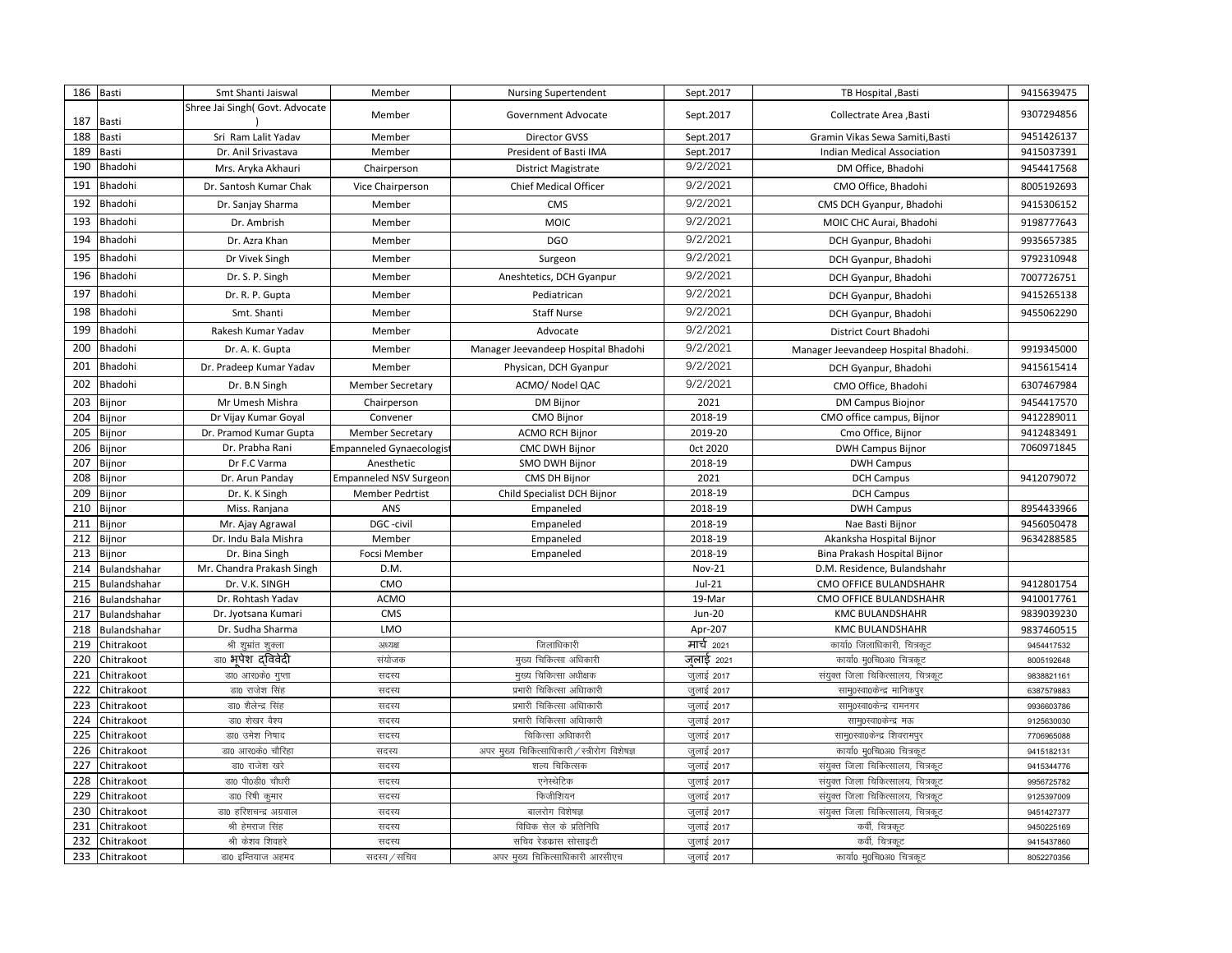| 186        | Basti                    | Smt Shanti Jaiswal              | Member                        | <b>Nursing Supertendent</b>                            | Sept.2017     | TB Hospital , Basti                          | 9415639475 |
|------------|--------------------------|---------------------------------|-------------------------------|--------------------------------------------------------|---------------|----------------------------------------------|------------|
| 187        | Basti                    | Shree Jai Singh( Govt. Advocate | Member                        | Government Advocate                                    | Sept.2017     | Collectrate Area , Basti                     | 9307294856 |
| 188        | Basti                    | Sri Ram Lalit Yadav             | Member                        | Director GVSS                                          | Sept.2017     | Gramin Vikas Sewa Samiti, Basti              | 9451426137 |
| 189        | Basti                    | Dr. Anil Srivastava             | Member                        | President of Basti IMA                                 | Sept.2017     | Indian Medical Association                   | 9415037391 |
| 190        | Bhadohi                  | Mrs. Aryka Akhauri              | Chairperson                   | <b>District Magistrate</b>                             | 9/2/2021      | DM Office, Bhadohi                           | 9454417568 |
| 191        | Bhadohi                  | Dr. Santosh Kumar Chak          | Vice Chairperson              | Chief Medical Officer                                  | 9/2/2021      | CMO Office, Bhadohi                          | 8005192693 |
| 192        | Bhadohi                  | Dr. Sanjay Sharma               | Member                        | CMS                                                    | 9/2/2021      | CMS DCH Gyanpur, Bhadohi                     | 9415306152 |
| 193        | Bhadohi                  | Dr. Ambrish                     | Member                        | <b>MOIC</b>                                            | 9/2/2021      | MOIC CHC Aurai, Bhadohi                      | 9198777643 |
| 194        | Bhadohi                  | Dr. Azra Khan                   | Member                        | <b>DGO</b>                                             | 9/2/2021      | DCH Gyanpur, Bhadohi                         | 9935657385 |
| 195        | Bhadohi                  | Dr Vivek Singh                  | Member                        | Surgeon                                                | 9/2/2021      | DCH Gyanpur, Bhadohi                         | 9792310948 |
| 196        | Bhadohi                  | Dr. S. P. Singh                 | Member                        | Aneshtetics, DCH Gyanpur                               | 9/2/2021      | DCH Gyanpur, Bhadohi                         | 7007726751 |
| 197        | Bhadohi                  | Dr. R. P. Gupta                 | Member                        | Pediatrican                                            | 9/2/2021      | DCH Gyanpur, Bhadohi                         | 9415265138 |
| 198        | Bhadohi                  | Smt. Shanti                     | Member                        | <b>Staff Nurse</b>                                     | 9/2/2021      | DCH Gyanpur, Bhadohi                         | 9455062290 |
| 199        | Bhadohi                  | Rakesh Kumar Yadav              | Member                        | Advocate                                               | 9/2/2021      | District Court Bhadohi                       |            |
| 200        | Bhadohi                  | Dr. A. K. Gupta                 | Member                        | Manager Jeevandeep Hospital Bhadohi                    | 9/2/2021      | Manager Jeevandeep Hospital Bhadohi.         | 9919345000 |
| 201        | Bhadohi                  | Dr. Pradeep Kumar Yadav         | Member                        | Physican, DCH Gyanpur                                  | 9/2/2021      | DCH Gyanpur, Bhadohi                         | 9415615414 |
| 202        | Bhadohi                  | Dr. B.N Singh                   | <b>Member Secretary</b>       | ACMO/ Nodel QAC                                        | 9/2/2021      | CMO Office, Bhadohi                          | 6307467984 |
| 203        | Bijnor                   | Mr Umesh Mishra                 | Chairperson                   | DM Bijnor                                              | 2021          | <b>DM Campus Biojnor</b>                     | 9454417570 |
| 204        | Bijnor                   | Dr Vijay Kumar Goyal            | Convener                      | CMO Bijnor                                             | 2018-19       | CMO office campus, Bijnor                    | 9412289011 |
| 205        | Bijnor                   | Dr. Pramod Kumar Gupta          | <b>Member Secretary</b>       | <b>ACMO RCH Bijnor</b>                                 | 2019-20       | Cmo Office, Bijnor                           | 9412483491 |
| 206        | Bijnor                   | Dr. Prabha Rani                 | mpanneled Gynaecologis        | <b>CMC DWH Bijnor</b>                                  | Oct 2020      | <b>DWH Campus Bijnor</b>                     | 7060971845 |
| 207        | Bijnor                   | Dr F.C Varma                    | Anesthetic                    | SMO DWH Bijnor                                         | 2018-19       | <b>DWH Campus</b>                            |            |
| 208        | Bijnor                   | Dr. Arun Panday                 | <b>Empanneled NSV Surgeon</b> | CMS DH Bijnor                                          | 2021          | <b>DCH Campus</b>                            | 9412079072 |
| 209        | Bijnor                   | Dr. K. K Singh                  | <b>Member Pedrtist</b>        | Child Specialist DCH Bijnor                            | 2018-19       | <b>DCH Campus</b>                            |            |
| 210        | Bijnor                   | Miss. Ranjana                   | ANS                           | Empaneled                                              | 2018-19       | <b>DWH Campus</b>                            | 8954433966 |
| 211        | Bijnor                   | Mr. Ajay Agrawal                | DGC -civil                    | Empaneled                                              | 2018-19       | Nae Basti Bijnor                             | 9456050478 |
| 212        | Bijnor                   | Dr. Indu Bala Mishra            | Member                        | Empaneled                                              | 2018-19       | Akanksha Hospital Bijnor                     | 9634288585 |
| 213        | Bijnor                   | Dr. Bina Singh                  | Focsi Member                  | Empaneled                                              | 2018-19       | Bina Prakash Hospital Bijnor                 |            |
| 214        | Bulandshahar             | Mr. Chandra Prakash Singh       | D.M.                          |                                                        | <b>Nov-21</b> | D.M. Residence, Bulandshahr                  |            |
| 215        | Bulandshahar             | Dr. V.K. SINGH                  | CMO                           |                                                        | $Jul-21$      | <b>CMO OFFICE BULANDSHAHR</b>                | 9412801754 |
| 216        | Bulandshahar             | Dr. Rohtash Yadav               | <b>ACMO</b>                   |                                                        | 19-Mar        | <b>CMO OFFICE BULANDSHAHR</b>                | 9410017761 |
| 217        | Bulandshahar             | Dr. Jyotsana Kumari             | CMS                           |                                                        | <b>Jun-20</b> | <b>KMC BULANDSHAHR</b>                       | 9839039230 |
| 218        | Bulandshahar             | Dr. Sudha Sharma                | LMO                           |                                                        | Apr-207       | <b>KMC BULANDSHAHR</b>                       | 9837460515 |
| 219        | Chitrakoot               | श्री शुभ्रांत शुक्ला            | अध्यक्ष                       | जिलाधिकारी                                             | मार्च 2021    | कार्या0 जिलाधिकारी, चित्रकट                  | 9454417532 |
| 220        | Chitrakoot               | डा0 भपेश दविवेदी                | संयोजक                        | मुख्य चिकित्सा अधिकारी                                 | जुलाई 2021    | कार्या0 मृ0चि0अ0 चित्रकूट                    | 8005192648 |
| 221        | Chitrakoot               | डा0 आर0के0 गुप्ता               | सदस्य                         | मुख्य चिकित्सा अधीक्षक                                 | जुलाई 2017    | संयुक्त जिला चिकित्सालय, चित्रकूट            | 9838821161 |
| 222        | Chitrakoot               | डा0 राजेश सिंह                  | सदस्य                         | प्रभारी चिकित्सा अधािकारी                              | जुलाई 2017    | साम्0स्वा0केन्द्र मानिकपुर                   | 6387579883 |
| 223        | Chitrakoot               | डा0 शैलेन्द्र सिंह              | सदस्य                         | प्रभारी चिकित्सा अधािकारी                              | जुलाई 2017    | साम्0स्वा0केन्द्र रामनगर                     | 9936603786 |
| 224        | Chitrakoot               | डा0 शेखर वैश्य                  | सदस्य                         | प्रभारी चिकित्सा अधािकारी                              | जुलाई 2017    | साम्0स्वा0केन्द्र मऊ                         | 9125630030 |
| 225        | Chitrakoot               | डा0 उमेश निषाद                  | सदस्य                         | चिकित्सा अधािकारी                                      | जुलाई 2017    | साम्0स्वा0केन्द्र शिवरामपुर                  | 7706965088 |
| 226        | Chitrakoot               | डा0 आर0के0 चौरिहा               | सदस्य                         | अपर मुख्य चिकित्साधिकारी / स्त्रीरोग विशेषज्ञ          | जुलाई 2017    | कार्या0 म्0चि0अ0 चित्रकूट                    | 9415182131 |
| 227        | Chitrakoot               | डा0 राजेश खरे                   | सदस्य                         | शल्य चिकित्सक                                          | जुलाई 2017    | संयुक्त जिला चिकित्सालय, चित्रकूट            | 9415344776 |
| 228        | Chitrakoot               | डा0 पी0डी0 चौधरी                | सदस्य                         | एनेस्थेटिक                                             | जुलाई 2017    | संयुक्त जिला चिकित्सालय, चित्रकूट            | 9956725782 |
| 229        | Chitrakoot               | डा0 रिषी कुमार                  | सदस्य                         | फिजीशियन                                               | जुलाई 2017    | संयुक्त जिला चिकित्सालय, चित्रकूट            | 9125397009 |
| 230        | Chitrakoot               | डा0 हरिशचन्द्र अग्रवाल          | सदस्य                         | बालरोग विशेषज्ञ                                        | जुलाई 2017    | संयुक्त जिला चिकित्सालय, चित्रकूट            | 9451427377 |
| 231        | Chitrakoot               | श्री हेमराज सिंह                | सदस्य                         | विधिक सेल के प्रतिनिधि                                 | जुलाई 2017    | कर्वी, चित्रकूट                              | 9450225169 |
| 232<br>233 | Chitrakoot<br>Chitrakoot | श्री केशव शिवहरे                | सदस्य<br>सदस्य / सचिव         | सचिव रेडकास सोसाइटी<br>अपर मुख्य चिकित्साधिकारी आरसीएच | जुलाई 2017    | कर्वी, चित्रकूट<br>कार्या0 म्0चि0अ0 चित्रकूट | 9415437860 |
|            |                          | डा0 इम्तियाज अहमद               |                               |                                                        | जुलाई 2017    |                                              | 8052270356 |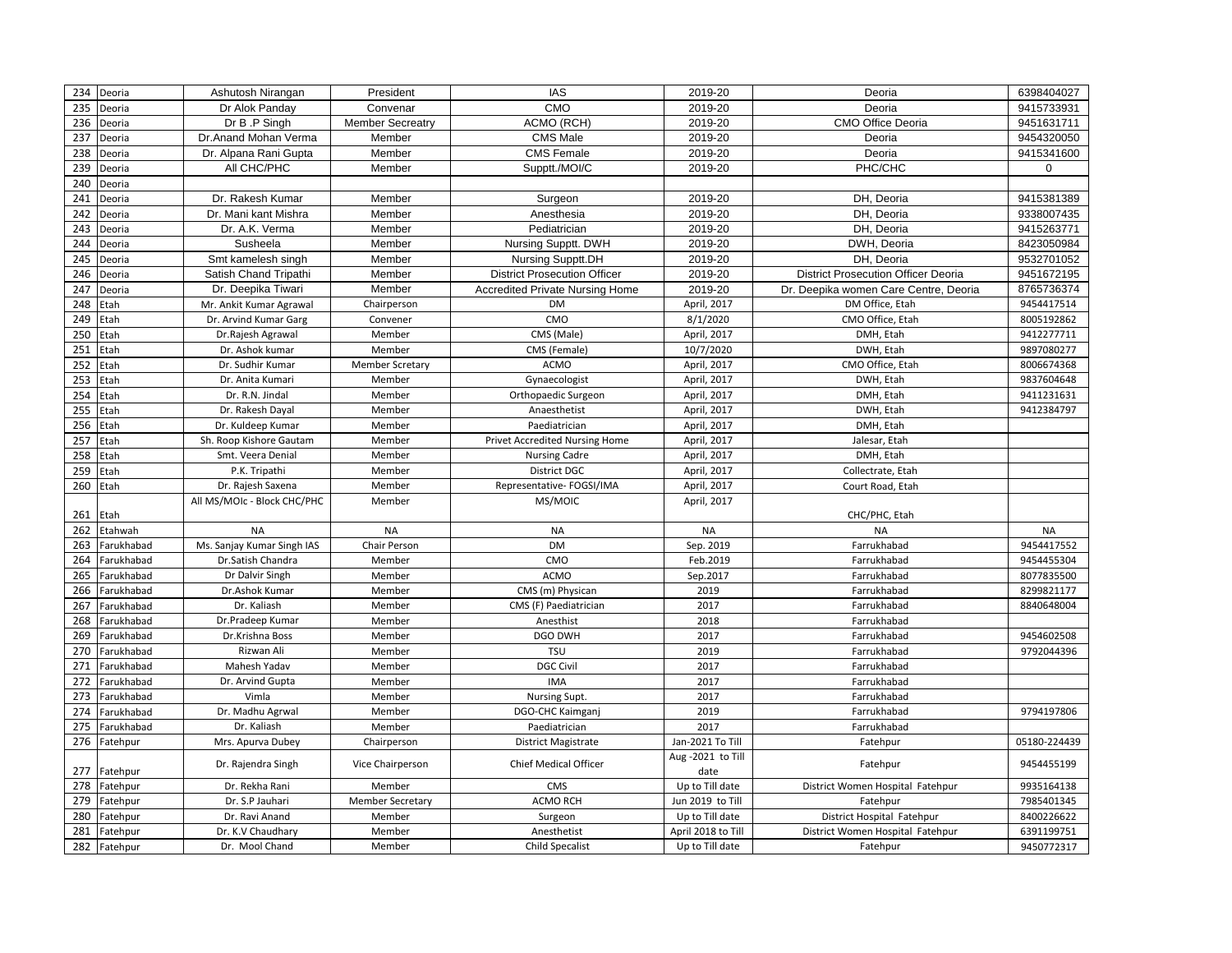| 234 | Deoria       | Ashutosh Nirangan           | President               | <b>IAS</b>                          | 2019-20                   | Deoria                                     | 6398404027   |
|-----|--------------|-----------------------------|-------------------------|-------------------------------------|---------------------------|--------------------------------------------|--------------|
| 235 | Deoria       | Dr Alok Panday              | Convenar                | CMO                                 | 2019-20                   | Deoria                                     | 9415733931   |
| 236 | Deoria       | Dr B .P Singh               | <b>Member Secreatry</b> | ACMO (RCH)                          | 2019-20                   | <b>CMO Office Deoria</b>                   | 9451631711   |
| 237 | Deoria       | Dr.Anand Mohan Verma        | Member                  | <b>CMS Male</b>                     | 2019-20                   | Deoria                                     | 9454320050   |
| 238 | Deoria       | Dr. Alpana Rani Gupta       | Member                  | <b>CMS Female</b>                   | 2019-20                   | Deoria                                     | 9415341600   |
| 239 | Deoria       | All CHC/PHC                 | Member                  | Supptt./MOI/C                       | 2019-20                   | PHC/CHC                                    | $\mathbf 0$  |
| 240 | Deoria       |                             |                         |                                     |                           |                                            |              |
| 241 | Deoria       | Dr. Rakesh Kumar            | Member                  | Surgeon                             | 2019-20                   | DH, Deoria                                 | 9415381389   |
| 242 | Deoria       | Dr. Mani kant Mishra        | Member                  | Anesthesia                          | 2019-20                   | DH, Deoria                                 | 9338007435   |
| 243 | Deoria       | Dr. A.K. Verma              | Member                  | Pediatrician                        | 2019-20                   | DH, Deoria                                 | 9415263771   |
| 244 | Deoria       | Susheela                    | Member                  | Nursing Supptt. DWH                 | 2019-20                   | DWH, Deoria                                | 8423050984   |
| 245 | Deoria       | Smt kamelesh singh          | Member                  | Nursing Supptt.DH                   | 2019-20                   | DH, Deoria                                 | 9532701052   |
| 246 | Deoria       | Satish Chand Tripathi       | Member                  | <b>District Prosecution Officer</b> | 2019-20                   | <b>District Prosecution Officer Deoria</b> | 9451672195   |
| 247 | Deoria       | Dr. Deepika Tiwari          | Member                  | Accredited Private Nursing Home     | 2019-20                   | Dr. Deepika women Care Centre, Deoria      | 8765736374   |
| 248 | Etah         | Mr. Ankit Kumar Agrawal     | Chairperson             | <b>DM</b>                           | April, 2017               | DM Office, Etah                            | 9454417514   |
| 249 | Etah         | Dr. Arvind Kumar Garg       | Convener                | CMO                                 | 8/1/2020                  | CMO Office, Etah                           | 8005192862   |
| 250 | Etah         | Dr.Rajesh Agrawal           | Member                  | CMS (Male)                          | April, 2017               | DMH, Etah                                  | 9412277711   |
| 251 | Etah         | Dr. Ashok kumar             | Member                  | CMS (Female)                        | 10/7/2020                 | DWH, Etah                                  | 9897080277   |
| 252 | Etah         | Dr. Sudhir Kumar            | <b>Member Scretary</b>  | <b>ACMO</b>                         | April, 2017               | CMO Office, Etah                           | 8006674368   |
| 253 | Etah         | Dr. Anita Kumari            | Member                  | Gynaecologist                       | April, 2017               | DWH, Etah                                  | 9837604648   |
| 254 | Etah         | Dr. R.N. Jindal             | Member                  | Orthopaedic Surgeon                 | April, 2017               | DMH, Etah                                  | 9411231631   |
| 255 | Etah         | Dr. Rakesh Dayal            | Member                  | Anaesthetist                        | April, 2017               | DWH, Etah                                  | 9412384797   |
| 256 | Etah         | Dr. Kuldeep Kumar           | Member                  | Paediatrician                       | April, 2017               | DMH, Etah                                  |              |
| 257 | Etah         | Sh. Roop Kishore Gautam     | Member                  | Privet Accredited Nursing Home      | April, 2017               | Jalesar, Etah                              |              |
| 258 | Etah         | Smt. Veera Denial           | Member                  | <b>Nursing Cadre</b>                | April, 2017               | DMH, Etah                                  |              |
| 259 | Etah         | P.K. Tripathi               | Member                  | <b>District DGC</b>                 | April, 2017               | Collectrate, Etah                          |              |
| 260 | Etah         | Dr. Rajesh Saxena           | Member                  | Representative- FOGSI/IMA           | April, 2017               | Court Road, Etah                           |              |
|     |              | All MS/MOIc - Block CHC/PHC | Member                  | MS/MOIC                             | April, 2017               |                                            |              |
| 261 | Etah         |                             |                         |                                     |                           | CHC/PHC, Etah                              |              |
| 262 | Etahwah      | <b>NA</b>                   | <b>NA</b>               | <b>NA</b>                           | <b>NA</b>                 | <b>NA</b>                                  | <b>NA</b>    |
| 263 | Farukhabad   | Ms. Sanjay Kumar Singh IAS  | Chair Person            | <b>DM</b>                           | Sep. 2019                 | Farrukhabad                                | 9454417552   |
| 264 | Farukhabad   | Dr.Satish Chandra           | Member                  | CMO                                 | Feb.2019                  | Farrukhabad                                | 9454455304   |
| 265 | Farukhabad   | Dr Dalvir Singh             | Member                  | <b>ACMO</b>                         | Sep.2017                  | Farrukhabad                                | 8077835500   |
| 266 | Farukhabad   | Dr.Ashok Kumar              | Member                  | CMS (m) Physican                    | 2019                      | Farrukhabad                                | 8299821177   |
| 267 | Farukhabad   | Dr. Kaliash                 | Member                  | CMS (F) Paediatrician               | 2017                      | Farrukhabad                                | 8840648004   |
| 268 | Farukhabad   | Dr.Pradeep Kumar            | Member                  | Anesthist                           | 2018                      | Farrukhabad                                |              |
| 269 | Farukhabad   | Dr.Krishna Boss             | Member                  | <b>DGO DWH</b>                      | 2017                      | Farrukhabad                                | 9454602508   |
| 270 | Farukhabad   | Rizwan Ali                  | Member                  | <b>TSU</b>                          | 2019                      | Farrukhabad                                | 9792044396   |
| 271 | Farukhabad   | Mahesh Yadav                | Member                  | <b>DGC Civil</b>                    | 2017                      | Farrukhabad                                |              |
| 272 | Farukhabad   | Dr. Arvind Gupta            | Member                  | <b>IMA</b>                          | 2017                      | Farrukhabad                                |              |
| 273 | Farukhabad   | Vimla                       | Member                  | Nursing Supt.                       | 2017                      | Farrukhabad                                |              |
| 274 | Farukhabad   | Dr. Madhu Agrwal            | Member                  | DGO-CHC Kaimganj                    | 2019                      | Farrukhabad                                | 9794197806   |
| 275 | Farukhabad   | Dr. Kaliash                 | Member                  | Paediatrician                       | 2017                      | Farrukhabad                                |              |
| 276 | Fatehpur     | Mrs. Apurva Dubey           | Chairperson             | District Magistrate                 | Jan-2021 To Till          | Fatehpur                                   | 05180-224439 |
| 277 | Fatehpur     | Dr. Rajendra Singh          | Vice Chairperson        | <b>Chief Medical Officer</b>        | Aug -2021 to Till<br>date | Fatehpur                                   | 9454455199   |
| 278 | Fatehpur     | Dr. Rekha Rani              | Member                  | CMS                                 | Up to Till date           | District Women Hospital Fatehpur           | 9935164138   |
| 279 | Fatehpur     | Dr. S.P Jauhari             | <b>Member Secretary</b> | ACMO RCH                            | Jun 2019 to Till          | Fatehpur                                   | 7985401345   |
| 280 | Fatehpur     | Dr. Ravi Anand              | Member                  | Surgeon                             | Up to Till date           | District Hospital Fatehpur                 | 8400226622   |
| 281 | Fatehpur     | Dr. K.V Chaudhary           | Member                  | Anesthetist                         | April 2018 to Till        | District Women Hospital Fatehpur           | 6391199751   |
|     | 282 Fatehpur | Dr. Mool Chand              | Member                  | Child Specalist                     | Up to Till date           | Fatehpur                                   | 9450772317   |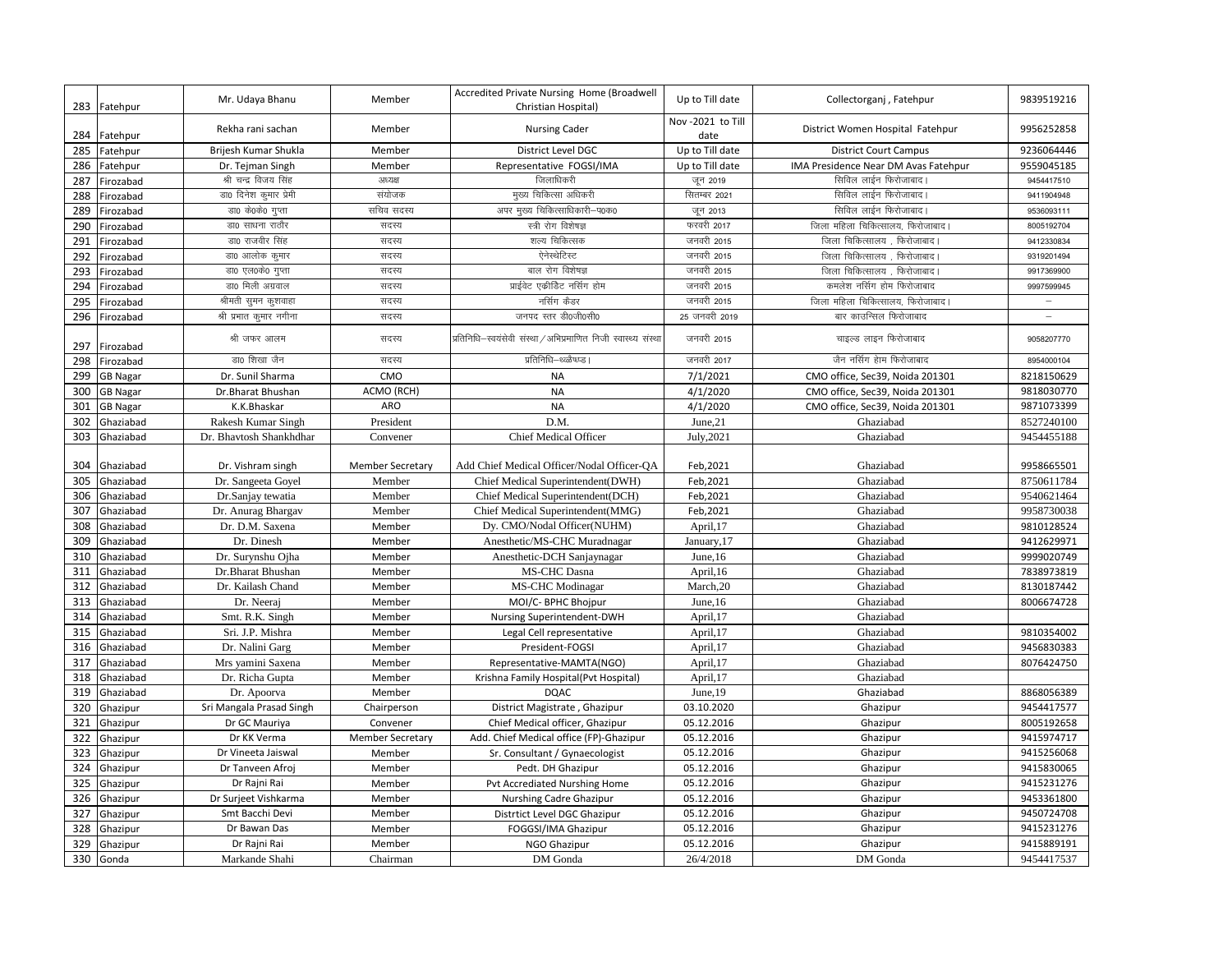|     | 283 Fatehpur    | Mr. Udaya Bhanu          | Member                  | Accredited Private Nursing Home (Broadwell<br>Christian Hospital) | Up to Till date           | Collectorganj, Fatehpur              | 9839519216 |
|-----|-----------------|--------------------------|-------------------------|-------------------------------------------------------------------|---------------------------|--------------------------------------|------------|
|     | 284 Fatehpur    | Rekha rani sachan        | Member                  | <b>Nursing Cader</b>                                              | Nov -2021 to Till<br>date | District Women Hospital Fatehpur     | 9956252858 |
| 285 | Fatehpur        | Brijesh Kumar Shukla     | Member                  | District Level DGC                                                | Up to Till date           | <b>District Court Campus</b>         | 9236064446 |
| 286 | Fatehpur        | Dr. Tejman Singh         | Member                  | Representative FOGSI/IMA                                          | Up to Till date           | IMA Presidence Near DM Avas Fatehpur | 9559045185 |
| 287 | Firozabad       | श्री चन्द्र विजय सिंह    | अध्यक्ष                 | जिलाधिकरी                                                         | जून 2019                  | सिविल लाईन फिरोजाबाद।                | 9454417510 |
| 288 | Firozabad       | डा0 दिनेश कुमार प्रेमी   | संयोजक                  | मुख्य चिकित्सा अधिकरी                                             | सितम्बर 2021              | सिविल लाईन फिरोजाबाद।                | 9411904948 |
| 289 | Firozabad       | डा0 के0के0 गुप्ता        | सचिव सदस्य              | अपर मुख्य चिकित्साधिकारी-प0क0                                     | जून 2013                  | सिविल लाईन फिरोजाबाद।                | 9536093111 |
| 290 | Firozabad       | डा0 साधना राठौर          | सदस्य                   | स्त्री रोग विशेषज्ञ                                               | फरवरी 2017                | जिला महिला चिकित्सालय, फिरोजाबाद।    | 8005192704 |
| 291 | Firozabad       | डा0 राजवीर सिंह          | सदस्य                   | शल्य चिकित्सक                                                     | जनवरी 2015                | जिला चिकित्सालय , फिरोजाबाद          | 9412330834 |
| 292 | Firozabad       | डा0 आलोक कुमार           | सदस्य                   | ऐनेस्थेटिस्ट                                                      | जनवरी 2015                | जिला चिकित्सालय , फिरोजाबाद।         | 9319201494 |
| 293 | Firozabad       | डा0 एल0के0 गुप्ता        | सदस्य                   | बाल रोग विशेषज्ञ                                                  | जनवरी 2015                | जिला चिकित्सालय , फिरोजाबाद          | 9917369900 |
| 294 | Firozabad       | डा0 मिली अग्रवाल         | सदस्य                   | प्राईवेट एकीडिट नर्सिग होम                                        | जनवरी 2015                | कमलेश नर्सिग होम फिरोजाबाद           | 9997599945 |
| 295 | Firozabad       | श्रीमती सुमन कुशवाहा     | सदस्य                   | नर्सिग कैडर                                                       | जनवरी 2015                | जिला महिला चिकित्सालय, फिरोजाबाद     |            |
| 296 | Firozabad       | श्री प्रभात कुमार नगीना  | सदस्य                   | जनपद स्तर डी0जी0सी0                                               | 25 जनवरी 2019             | बार काउन्सिल फिरोजाबाद               |            |
| 297 | Firozabad       | श्री जफर आलम             | सदस्य                   | प्रतिनिधि—स्वयंसेवी संस्था / अभिप्रमाणित निजी स्वास्थ्य संस्था    | जनवरी 2015                | चाइल्ड लाइन फिरोजाबाद                | 9058207770 |
| 298 | Firozabad       | डा0 शिखा जैन             | सदस्य                   | प्रतिनिधि–थ्ळ्ळैष्ध्प्ड।                                          | जनवरी 2017                | जैन नर्सिग हेाम फिरोजाबाद            | 8954000104 |
| 299 | <b>GB Nagar</b> | Dr. Sunil Sharma         | CMO                     | <b>NA</b>                                                         | 7/1/2021                  | CMO office, Sec39, Noida 201301      | 8218150629 |
| 300 | GB Nagar        | Dr.Bharat Bhushan        | ACMO (RCH)              | <b>NA</b>                                                         | 4/1/2020                  | CMO office, Sec39, Noida 201301      | 9818030770 |
| 301 | <b>GB Nagar</b> | K.K.Bhaskar              | <b>ARO</b>              | <b>NA</b>                                                         | 4/1/2020                  | CMO office, Sec39, Noida 201301      | 9871073399 |
| 302 | Ghaziabad       | Rakesh Kumar Singh       | President               | D.M.                                                              | June,21                   | Ghaziabad                            | 8527240100 |
| 303 | Ghaziabad       | Dr. Bhavtosh Shankhdhar  | Convener                | <b>Chief Medical Officer</b>                                      | July, 2021                | Ghaziabad                            | 9454455188 |
|     |                 |                          |                         |                                                                   |                           |                                      |            |
| 304 | Ghaziabad       | Dr. Vishram singh        | <b>Member Secretary</b> | Add Chief Medical Officer/Nodal Officer-OA                        | Feb, 2021                 | Ghaziabad                            | 9958665501 |
| 305 | Ghaziabad       | Dr. Sangeeta Goyel       | Member                  | Chief Medical Superintendent(DWH)                                 | Feb, 2021                 | Ghaziabad                            | 8750611784 |
| 306 | Ghaziabad       | Dr.Sanjay tewatia        | Member                  | Chief Medical Superintendent(DCH)                                 | Feb, 2021                 | Ghaziabad                            | 9540621464 |
| 307 | Ghaziabad       | Dr. Anurag Bhargav       | Member                  | Chief Medical Superintendent(MMG)                                 | Feb, 2021                 | Ghaziabad                            | 9958730038 |
| 308 | Ghaziabad       | Dr. D.M. Saxena          | Member                  | Dy. CMO/Nodal Officer(NUHM)                                       | April, 17                 | Ghaziabad                            | 9810128524 |
| 309 | Ghaziabad       | Dr. Dinesh               | Member                  | Anesthetic/MS-CHC Muradnagar                                      | January, 17               | Ghaziabad                            | 9412629971 |
| 310 | Ghaziabad       | Dr. Surynshu Ojha        | Member                  | Anesthetic-DCH Sanjaynagar                                        | June, 16                  | Ghaziabad                            | 9999020749 |
| 311 | Ghaziabad       | Dr.Bharat Bhushan        | Member                  | MS-CHC Dasna                                                      | April, 16                 | Ghaziabad                            | 7838973819 |
| 312 | Ghaziabad       | Dr. Kailash Chand        | Member                  | <b>MS-CHC</b> Modinagar                                           | March, 20                 | Ghaziabad                            | 8130187442 |
| 313 | Ghaziabad       | Dr. Neeraj               | Member                  | MOI/C- BPHC Bhojpur                                               | June, 16                  | Ghaziabad                            | 8006674728 |
| 314 | Ghaziabad       | Smt. R.K. Singh          | Member                  | Nursing Superintendent-DWH                                        | April, 17                 | Ghaziabad                            |            |
| 315 | Ghaziabad       | Sri. J.P. Mishra         | Member                  | Legal Cell representative                                         | April, 17                 | Ghaziabad                            | 9810354002 |
| 316 | Ghaziabad       | Dr. Nalini Garg          | Member                  | President-FOGSI                                                   | April, 17                 | Ghaziabad                            | 9456830383 |
| 317 | Ghaziabad       | Mrs yamini Saxena        | Member                  | Representative-MAMTA(NGO)                                         | April,17                  | Ghaziabad                            | 8076424750 |
| 318 | Ghaziabad       | Dr. Richa Gupta          | Member                  | Krishna Family Hospital(Pvt Hospital)                             | April,17                  | Ghaziabad                            |            |
| 319 | Ghaziabad       | Dr. Apoorva              | Member                  | <b>DQAC</b>                                                       | June, 19                  | Ghaziabad                            | 8868056389 |
| 320 | Ghazipur        | Sri Mangala Prasad Singh | Chairperson             | District Magistrate, Ghazipur                                     | 03.10.2020                | Ghazipur                             | 9454417577 |
| 321 | Ghazipur        | Dr GC Mauriya            | Convener                | Chief Medical officer, Ghazipur                                   | 05.12.2016                | Ghazipur                             | 8005192658 |
| 322 | Ghazipur        | Dr KK Verma              | <b>Member Secretary</b> | Add. Chief Medical office (FP)-Ghazipur                           | 05.12.2016                | Ghazipur                             | 9415974717 |
| 323 | Ghazipur        | Dr Vineeta Jaiswal       | Member                  | Sr. Consultant / Gynaecologist                                    | 05.12.2016                | Ghazipur                             | 9415256068 |
| 324 | Ghazipur        | Dr Tanveen Afroj         | Member                  | Pedt. DH Ghazipur                                                 | 05.12.2016                | Ghazipur                             | 9415830065 |
| 325 | Ghazipur        | Dr Rajni Rai             | Member                  | Pvt Accrediated Nurshing Home                                     | 05.12.2016                | Ghazipur                             | 9415231276 |
| 326 | Ghazipur        | Dr Surjeet Vishkarma     | Member                  | Nurshing Cadre Ghazipur                                           | 05.12.2016                | Ghazipur                             | 9453361800 |
| 327 | Ghazipur        | Smt Bacchi Devi          | Member                  | Distrtict Level DGC Ghazipur                                      | 05.12.2016                | Ghazipur                             | 9450724708 |
| 328 | Ghazipur        | Dr Bawan Das             | Member                  | FOGGSI/IMA Ghazipur                                               | 05.12.2016                | Ghazipur                             | 9415231276 |
| 329 | Ghazipur        | Dr Rajni Rai             | Member                  | NGO Ghazipur                                                      | 05.12.2016                | Ghazipur                             | 9415889191 |
|     | 330 Gonda       | Markande Shahi           | Chairman                | DM Gonda                                                          | 26/4/2018                 | DM Gonda                             | 9454417537 |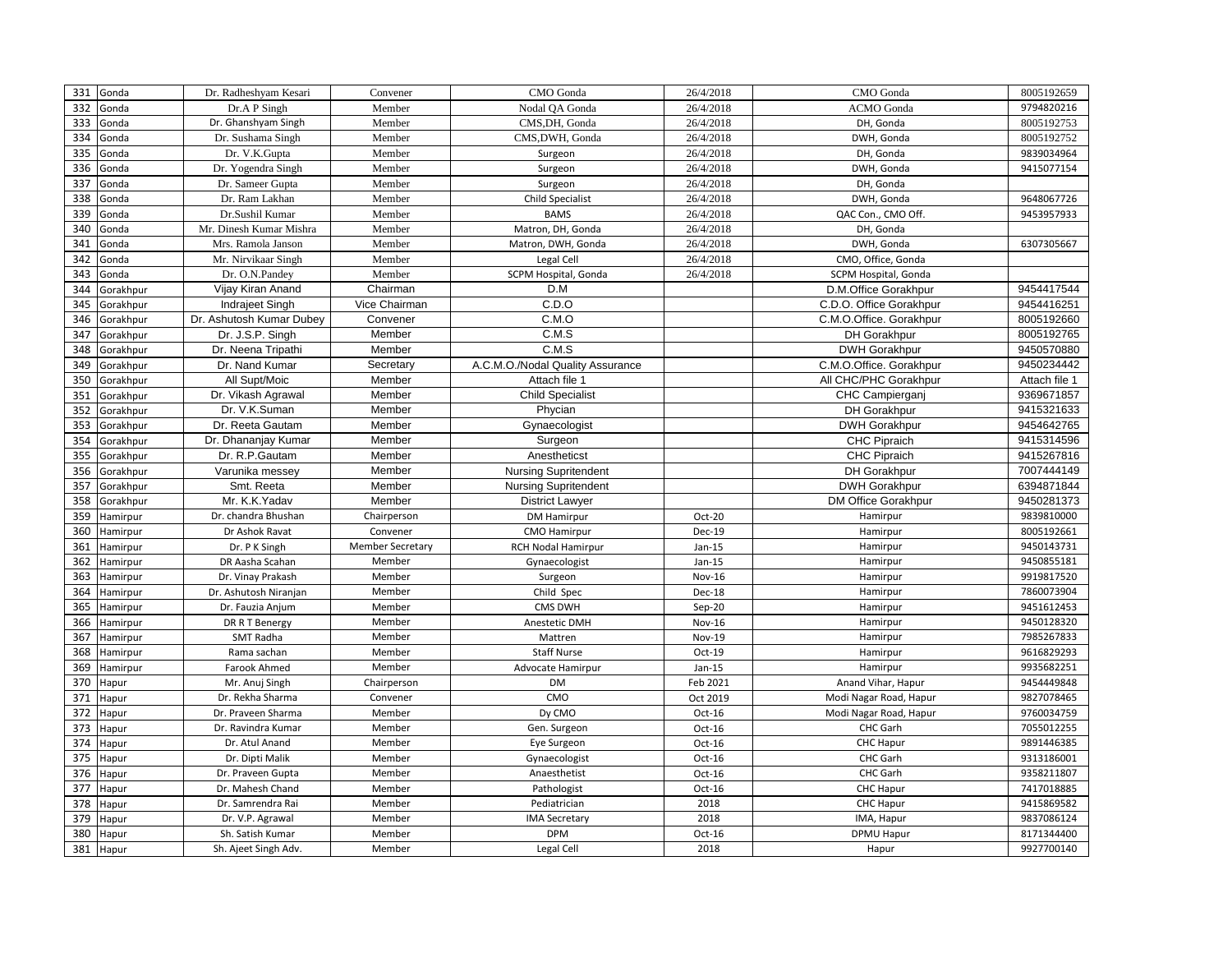| 331 | Gonda     | Dr. Radheshyam Kesari    | Convener                | CMO Gonda                        | 26/4/2018 | CMO Gonda               | 8005192659    |
|-----|-----------|--------------------------|-------------------------|----------------------------------|-----------|-------------------------|---------------|
| 332 | Gonda     | Dr.A P Singh             | Member                  | Nodal QA Gonda                   | 26/4/2018 | <b>ACMO</b> Gonda       | 9794820216    |
| 333 | Gonda     | Dr. Ghanshyam Singh      | Member                  | CMS, DH, Gonda                   | 26/4/2018 | DH, Gonda               | 8005192753    |
| 334 | Gonda     | Dr. Sushama Singh        | Member                  | CMS, DWH, Gonda                  | 26/4/2018 | DWH, Gonda              | 8005192752    |
| 335 | Gonda     | Dr. V.K.Gupta            | Member                  | Surgeon                          | 26/4/2018 | DH, Gonda               | 9839034964    |
| 336 | Gonda     | Dr. Yogendra Singh       | Member                  | Surgeon                          | 26/4/2018 | DWH, Gonda              | 9415077154    |
| 337 | Gonda     | Dr. Sameer Gupta         | Member                  | Surgeon                          | 26/4/2018 | DH, Gonda               |               |
| 338 | Gonda     | Dr. Ram Lakhan           | Member                  | <b>Child Specialist</b>          | 26/4/2018 | DWH, Gonda              | 9648067726    |
| 339 | Gonda     | Dr.Sushil Kumar          | Member                  | <b>BAMS</b>                      | 26/4/2018 | QAC Con., CMO Off.      | 9453957933    |
| 340 | Gonda     | Mr. Dinesh Kumar Mishra  | Member                  | Matron, DH, Gonda                | 26/4/2018 | DH, Gonda               |               |
| 341 | Gonda     | Mrs. Ramola Janson       | Member                  | Matron, DWH, Gonda               | 26/4/2018 | DWH, Gonda              | 6307305667    |
| 342 | Gonda     | Mr. Nirvikaar Singh      | Member                  | Legal Cell                       | 26/4/2018 | CMO, Office, Gonda      |               |
| 343 | Gonda     | Dr. O.N.Pandey           | Member                  | SCPM Hospital, Gonda             | 26/4/2018 | SCPM Hospital, Gonda    |               |
| 344 | Gorakhpur | Vijay Kiran Anand        | Chairman                | D.M                              |           | D.M.Office Gorakhpur    | 9454417544    |
| 345 | Gorakhpur | Indrajeet Singh          | Vice Chairman           | C.D.O                            |           | C.D.O. Office Gorakhpur | 9454416251    |
| 346 | Gorakhpur | Dr. Ashutosh Kumar Dubey | Convener                | C.M.O                            |           | C.M.O.Office. Gorakhpur | 8005192660    |
| 347 | Gorakhpur | Dr. J.S.P. Singh         | Member                  | C.M.S                            |           | DH Gorakhpur            | 8005192765    |
| 348 | Gorakhpur | Dr. Neena Tripathi       | Member                  | C.M.S                            |           | <b>DWH Gorakhpur</b>    | 9450570880    |
| 349 | Gorakhpur | Dr. Nand Kumar           | Secretary               | A.C.M.O./Nodal Quality Assurance |           | C.M.O.Office. Gorakhpur | 9450234442    |
| 350 | Gorakhpur | All Supt/Moic            | Member                  | Attach file 1                    |           | All CHC/PHC Gorakhpur   | Attach file 1 |
| 351 | Gorakhpur | Dr. Vikash Agrawal       | Member                  | <b>Child Specialist</b>          |           | CHC Campierganj         | 9369671857    |
| 352 | Gorakhpur | Dr. V.K.Suman            | Member                  | Phycian                          |           | DH Gorakhpur            | 9415321633    |
| 353 | Gorakhpur | Dr. Reeta Gautam         | Member                  | Gynaecologist                    |           | <b>DWH Gorakhpur</b>    | 9454642765    |
| 354 | Gorakhpur | Dr. Dhananjay Kumar      | Member                  | Surgeon                          |           | CHC Pipraich            | 9415314596    |
| 355 | Gorakhpur | Dr. R.P.Gautam           | Member                  | Anestheticst                     |           | CHC Pipraich            | 9415267816    |
| 356 | Gorakhpur | Varunika messey          | Member                  | <b>Nursing Supritendent</b>      |           | DH Gorakhpur            | 7007444149    |
| 357 | Gorakhpur | Smt. Reeta               | Member                  | <b>Nursing Supritendent</b>      |           | <b>DWH Gorakhpur</b>    | 6394871844    |
| 358 | Gorakhpur | Mr. K.K.Yadav            | Member                  | <b>District Lawyer</b>           |           | DM Office Gorakhpur     | 9450281373    |
| 359 | Hamirpur  | Dr. chandra Bhushan      | Chairperson             | <b>DM Hamirpur</b>               | Oct-20    | Hamirpur                | 9839810000    |
| 360 | Hamirpur  | Dr Ashok Ravat           | Convener                | <b>CMO Hamirpur</b>              | Dec-19    | Hamirpur                | 8005192661    |
| 361 | Hamirpur  | Dr. P K Singh            | <b>Member Secretary</b> | <b>RCH Nodal Hamirpur</b>        | $Jan-15$  | Hamirpur                | 9450143731    |
| 362 | Hamirpur  | DR Aasha Scahan          | Member                  | Gynaecologist                    | $Jan-15$  | Hamirpur                | 9450855181    |
| 363 | Hamirpur  | Dr. Vinay Prakash        | Member                  | Surgeon                          | Nov-16    | Hamirpur                | 9919817520    |
| 364 | Hamirpur  | Dr. Ashutosh Niranjan    | Member                  | Child Spec                       | Dec-18    | Hamirpur                | 7860073904    |
| 365 | Hamirpur  | Dr. Fauzia Anjum         | Member                  | CMS DWH                          | Sep-20    | Hamirpur                | 9451612453    |
| 366 | Hamirpur  | DR R T Benergy           | Member                  | Anestetic DMH                    | Nov-16    | Hamirpur                | 9450128320    |
| 367 | Hamirpur  | SMT Radha                | Member                  | Mattren                          | Nov-19    | Hamirpur                | 7985267833    |
| 368 | Hamirpur  | Rama sachan              | Member                  | <b>Staff Nurse</b>               | Oct-19    | Hamirpur                | 9616829293    |
| 369 | Hamirpur  | Farook Ahmed             | Member                  | Advocate Hamirpur                | $Jan-15$  | Hamirpur                | 9935682251    |
| 370 | Hapur     | Mr. Anuj Singh           | Chairperson             | <b>DM</b>                        | Feb 2021  | Anand Vihar, Hapur      | 9454449848    |
| 371 | Hapur     | Dr. Rekha Sharma         | Convener                | CMO                              | Oct 2019  | Modi Nagar Road, Hapur  | 9827078465    |
| 372 | Hapur     | Dr. Praveen Sharma       | Member                  | Dy CMO                           | Oct-16    | Modi Nagar Road, Hapur  | 9760034759    |
| 373 | Hapur     | Dr. Ravindra Kumar       | Member                  | Gen. Surgeon                     | $Oct-16$  | CHC Garh                | 7055012255    |
| 374 | Hapur     | Dr. Atul Anand           | Member                  | Eye Surgeon                      | $Oct-16$  | CHC Hapur               | 9891446385    |
| 375 | Hapur     | Dr. Dipti Malik          | Member                  | Gynaecologist                    | $Oct-16$  | CHC Garh                | 9313186001    |
| 376 | Hapur     | Dr. Praveen Gupta        | Member                  | Anaesthetist                     | $Oct-16$  | CHC Garh                | 9358211807    |
| 377 | Hapur     | Dr. Mahesh Chand         | Member                  | Pathologist                      | $Oct-16$  | CHC Hapur               | 7417018885    |
| 378 | Hapur     | Dr. Samrendra Rai        | Member                  | Pediatrician                     | 2018      | CHC Hapur               | 9415869582    |
| 379 | Hapur     | Dr. V.P. Agrawal         | Member                  | <b>IMA Secretary</b>             | 2018      | IMA, Hapur              | 9837086124    |
| 380 | Hapur     | Sh. Satish Kumar         | Member                  | <b>DPM</b>                       | $Oct-16$  | DPMU Hapur              | 8171344400    |
|     | 381 Hapur | Sh. Ajeet Singh Adv.     | Member                  | Legal Cell                       | 2018      | Hapur                   | 9927700140    |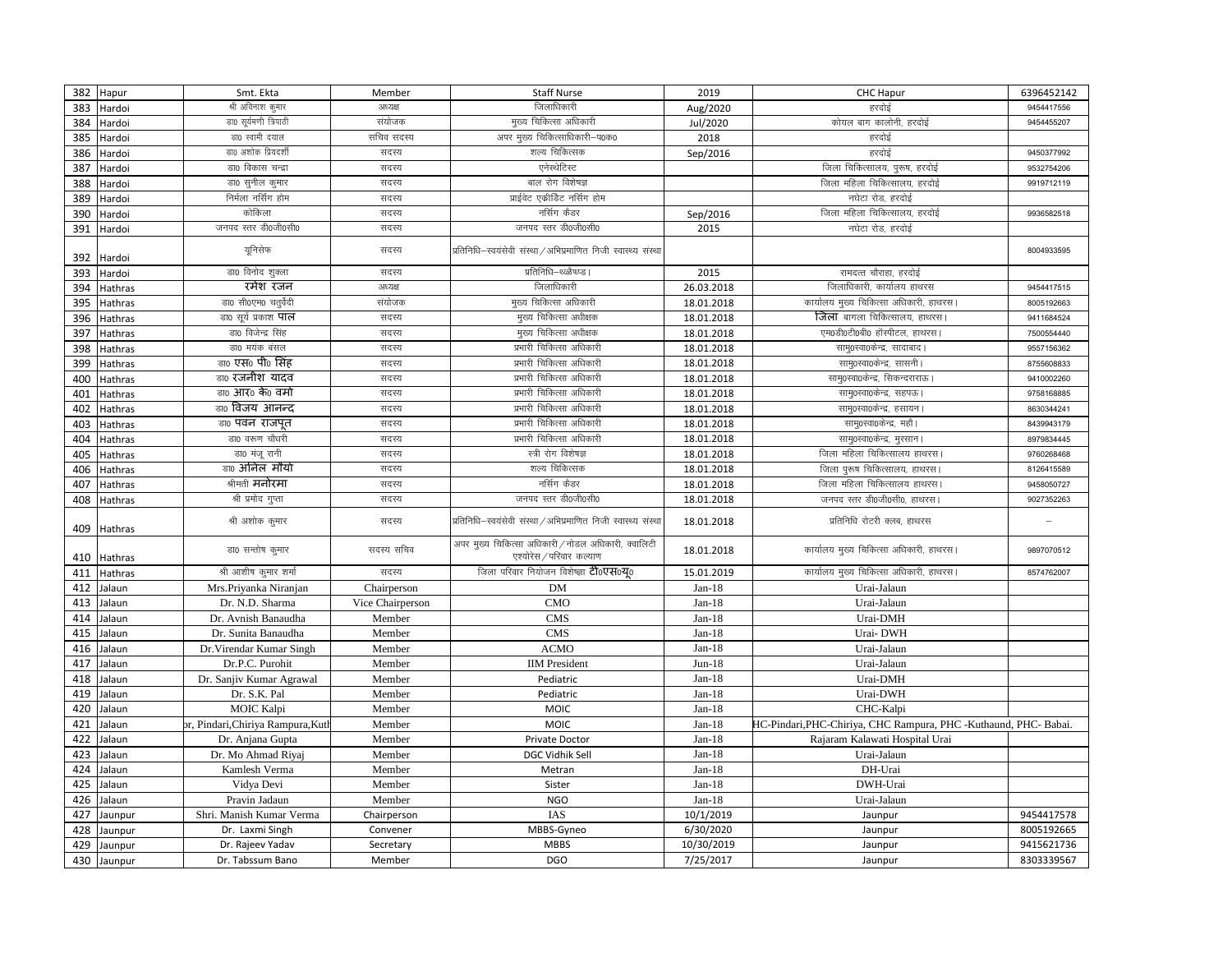| 382 | Hapur                  | Smt. Ekta                            | Member              | <b>Staff Nurse</b>                                                              | 2019                    | CHC Hapur                                                         | 6396452142               |
|-----|------------------------|--------------------------------------|---------------------|---------------------------------------------------------------------------------|-------------------------|-------------------------------------------------------------------|--------------------------|
| 383 | Hardoi                 | श्री अविनाश क्मार                    | अध्यक्ष             | जिलाधिकारी                                                                      | Aug/2020                | हरदोई                                                             | 9454417556               |
| 384 | Hardoi                 | डा0 सूर्यमणी त्रिपाठी                | संयोजक              | मुख्य चिकित्सा अधिकारी                                                          | Jul/2020                | कोयल बाग कालोनी, हरदोई                                            | 9454455207               |
| 385 | Hardoi                 | डा0 स्वामी दयाल                      | सचिव सदस्य          | अपर मुख्य चिकित्साधिकारी-प0क0                                                   | 2018                    | हरदोई                                                             |                          |
| 386 | Hardoi                 | डा0 अशोक प्रियदर्शी                  | सदस्य               | शल्य चिकित्सक                                                                   | Sep/2016                | हरदोई                                                             | 9450377992               |
| 387 | Hardoi                 | डा0 विकास चन्द्रा                    | सदस्य               | एनेस्थेटिस्ट                                                                    |                         | जिला चिकित्सालय, पुरूष, हरदोई                                     | 9532754206               |
| 388 | Hardoi                 | डा0 सूनील कुमार                      | सदस्य               | बाल रोग विशेषज्ञ                                                                |                         | जिला महिला चिकित्सालय. हरदोई                                      | 9919712119               |
| 389 | Hardoi                 | निर्मला नर्सिंग होम                  | सदस्य               | प्राईवेट एकीडिट नर्सिग होम                                                      |                         | नघेटा रोड, हरदोई                                                  |                          |
| 390 | Hardoi                 | कोकिला                               | सदस्य               | नर्सिग कैडर                                                                     | Sep/2016                | जिला महिला चिकित्सालय, हरदोई                                      | 9936582518               |
| 391 | Hardoi                 | जनपद स्तर डी0जी0सी0                  | सदस्य               | जनपद स्तर डी0जी0सी0                                                             | 2015                    | नघेटा रोड, हरदोई                                                  |                          |
| 392 | Hardoi                 | यूनिसेफ                              | सदस्य               | प्रतिनिधि-स्वयंसेवी संस्था / अभिप्रमाणित निजी स्वास्थ्य संस्था                  |                         |                                                                   | 8004933595               |
| 393 | Hardoi                 | डा0 विनोद शुक्ला                     | सदस्य               | प्रतिनिधि–थ्ळ्ळैष्ध्प्ड ।                                                       | 2015                    | रामदत्त चौराहा. हरदोई                                             |                          |
| 394 | Hathras                | रमेश रंजन                            | अध्यक्ष             | जिलाधिकारी                                                                      | 26.03.2018              | जिलाधिकारी, कार्यालय हाथरस                                        | 9454417515               |
| 395 | Hathras                | डा0 सी0एम0 चतुर्वेदी                 | संयोजक              | मुख्य चिकित्सा अधिकारी                                                          | 18.01.2018              | कार्यालय मुख्य चिकित्सा अधिकारी, हाथरस                            | 8005192663               |
| 396 | Hathras                | डा0 सूर्य प्रकाश <b>पाल</b>          | सदस्य               | मुख्य चिकित्सा अधीक्षक                                                          | 18.01.2018              | जिला बागला चिकित्सालय, हाथरस।                                     | 9411684524               |
| 397 | Hathras                | डा0 विजेन्द्र सिंह                   | सदस्य               | मुख्य चिकित्सा अधीक्षक                                                          | 18.01.2018              | एम0डी0टी0बी0 हॉस्पीटल, हाथरस।                                     | 7500554440               |
| 398 | Hathras                | डा0 मयंक बंसल                        | सदस्य               | प्रभारी चिकित्सा अधिकारी                                                        | 18.01.2018              | साम्0स्वा0केन्द्र, सादाबाद।                                       | 9557156362               |
| 399 | Hathras                | डा0 एस0 पी0 सिंह                     | सदस्य               | प्रभारी चिकित्सा अधिकारी                                                        | 18.01.2018              | साम्0स्वा0केन्द्र, सासनी ।                                        | 8755608833               |
| 400 | Hathras                | <sub>डा0</sub> रजनीश यादव            | सदस्य               | प्रभारी चिकित्सा अधिकारी                                                        | 18.01.2018              | सामु0स्वा0केन्द्र, सिकन्दराराऊ                                    | 9410002260               |
| 401 | Hathras                | डा0 आर0 के0 वर्मा                    | सदस्य               | प्रभारी चिकित्सा अधिकारी                                                        | 18.01.2018              | साम्oस्वाoकेन्द्र, सहपऊ।                                          | 9758168885               |
| 402 | Hathras                | <sub>डा0</sub> विजय आनन्द            | सदस्य               | प्रभारी चिकित्सा अधिकारी                                                        | 18.01.2018              | साम्0स्वा0केन्द्र, हसायन।                                         | 8630344241               |
| 403 | Hathras                | डा0 पवन राजपूत                       | सदस्य               | प्रभारी चिकित्सा अधिकारी                                                        | 18.01.2018              | साम्oस्वाoकेन्द्र, महौ                                            | 8439943179               |
| 404 | Hathras                | डा0 वरूण चौधरी                       | सदस्य               | प्रभारी चिकित्सा अधिकारी                                                        | 18.01.2018              | साम्0स्वा0केन्द्र, मुरसान।                                        | 8979834445               |
| 405 | Hathras                | डा0 मंजू रानी                        | सदस्य               | स्त्री रोग विशेषज्ञ                                                             | 18.01.2018              | जिला महिला चिकित्सालय हाथरस                                       | 9760268468               |
| 406 | Hathras                | <sub>डा0</sub> अनिल मौर्या           | सदस्य               | शल्य चिकित्सक                                                                   | 18.01.2018              | जिला पुरूष चिकित्सालय, हाथरस।                                     | 8126415589               |
| 407 | Hathras                | श्रीमती <b>मनोरमा</b>                | सदस्य               | नर्सिग कैडर                                                                     | 18.01.2018              | जिला महिला चिकित्सालय हाथरस                                       | 9458050727               |
| 408 | Hathras                | श्री प्रमोद गुप्ता                   | सदस्य               | जनपद स्तर डी0जी0सी0                                                             | 18.01.2018              | जनपद स्तर डी0जी0सी0, हाथरस।                                       | 9027352263               |
| 409 | Hathras                | श्री अशोक कुमार                      | सदस्य               | प्रतिनिधि-स्वयंसेवी संस्था / अभिप्रमाणित निजी स्वास्थ्य संस्था                  | 18.01.2018              | प्रतिनिधि रोटरी क्लब, हाथरस                                       |                          |
|     | 410 Hathras            | डा0 सन्तोष कुमार                     | सदस्य सचिव          | अपर मुख्य चिकित्सा अधिकारी / नोडल अधिकारी, क्वालिटी<br>एश्योरेस / परिवार कल्याण | 18.01.2018              | कार्यालय मुख्य चिकित्सा अधिकारी, हाथरस।                           | 9897070512               |
| 411 | Hathras                | श्री आशीष कुमार शर्मा                | सदस्य               | जिला परिवार नियोजन विशेष्ज्ञा <b>टीoएसoयo</b>                                   | 15.01.2019              | कार्यालय मुख्य चिकित्सा अधिकारी, हाथरस।                           | 8574762007               |
| 412 | Jalaun                 | Mrs.Priyanka Niranjan                | Chairperson         | <b>DM</b>                                                                       | $Jan-18$                | Urai-Jalaun                                                       |                          |
| 413 | Jalaun                 | Dr. N.D. Sharma                      | Vice Chairperson    | <b>CMO</b>                                                                      | $Jan-18$                | Urai-Jalaun                                                       |                          |
| 414 | Jalaun                 | Dr. Avnish Banaudha                  | Member              | <b>CMS</b>                                                                      | $Jan-18$                | Urai-DMH                                                          |                          |
| 415 | Jalaun                 | Dr. Sunita Banaudha                  | Member              | <b>CMS</b>                                                                      | $Jan-18$                | Urai-DWH                                                          |                          |
| 416 | Jalaun                 | Dr. Virendar Kumar Singh             | Member              | <b>ACMO</b>                                                                     | $Jan-18$                | Urai-Jalaun                                                       |                          |
| 417 | Jalaun                 | Dr.P.C. Purohit                      | Member              | <b>IIM</b> President                                                            | $Jun-18$                | Urai-Jalaun                                                       |                          |
| 418 | Jalaun                 | Dr. Sanjiv Kumar Agrawal             | Member              | Pediatric                                                                       | $Jan-18$                | Urai-DMH                                                          |                          |
| 419 | Jalaun                 | Dr. S.K. Pal                         | Member              | Pediatric                                                                       | $Jan-18$                | Urai-DWH                                                          |                          |
| 420 | Jalaun                 | <b>MOIC Kalpi</b>                    | Member              | <b>MOIC</b>                                                                     | $Jan-18$                | CHC-Kalpi                                                         |                          |
| 421 | Jalaun                 | or, Pindari,Chiriya Rampura,Kutl     | Member              | <b>MOIC</b>                                                                     | $Jan-18$                | HC-Pindari, PHC-Chiriya, CHC Rampura, PHC - Kuthaund, PHC- Babai. |                          |
| 422 | Jalaun                 | Dr. Anjana Gupta                     | Member              | Private Doctor                                                                  | $Jan-18$                | Rajaram Kalawati Hospital Urai                                    |                          |
| 423 | Jalaun                 | Dr. Mo Ahmad Riyaj                   | Member              | <b>DGC Vidhik Sell</b>                                                          | $Jan-18$                | Urai-Jalaun                                                       |                          |
| 424 | Jalaun                 | Kamlesh Verma                        | Member              | Metran                                                                          | $Jan-18$                | DH-Urai                                                           |                          |
| 425 | Jalaun                 | Vidya Devi                           | Member              | Sister                                                                          | $Jan-18$                | DWH-Urai                                                          |                          |
| 426 | Jalaun                 | Pravin Jadaun                        | Member              | <b>NGO</b>                                                                      | $Jan-18$                | Urai-Jalaun                                                       |                          |
|     |                        |                                      |                     |                                                                                 |                         |                                                                   |                          |
| 427 | Jaunpur                | Shri. Manish Kumar Verma             | Chairperson         | IAS                                                                             | 10/1/2019               | Jaunpur                                                           | 9454417578               |
| 428 | Jaunpur                | Dr. Laxmi Singh                      | Convener            | MBBS-Gyneo                                                                      | 6/30/2020               | Jaunpur                                                           | 8005192665               |
| 429 | Jaunpur<br>430 Jaunpur | Dr. Rajeev Yadav<br>Dr. Tabssum Bano | Secretary<br>Member | <b>MBBS</b><br><b>DGO</b>                                                       | 10/30/2019<br>7/25/2017 | Jaunpur<br>Jaunpur                                                | 9415621736<br>8303339567 |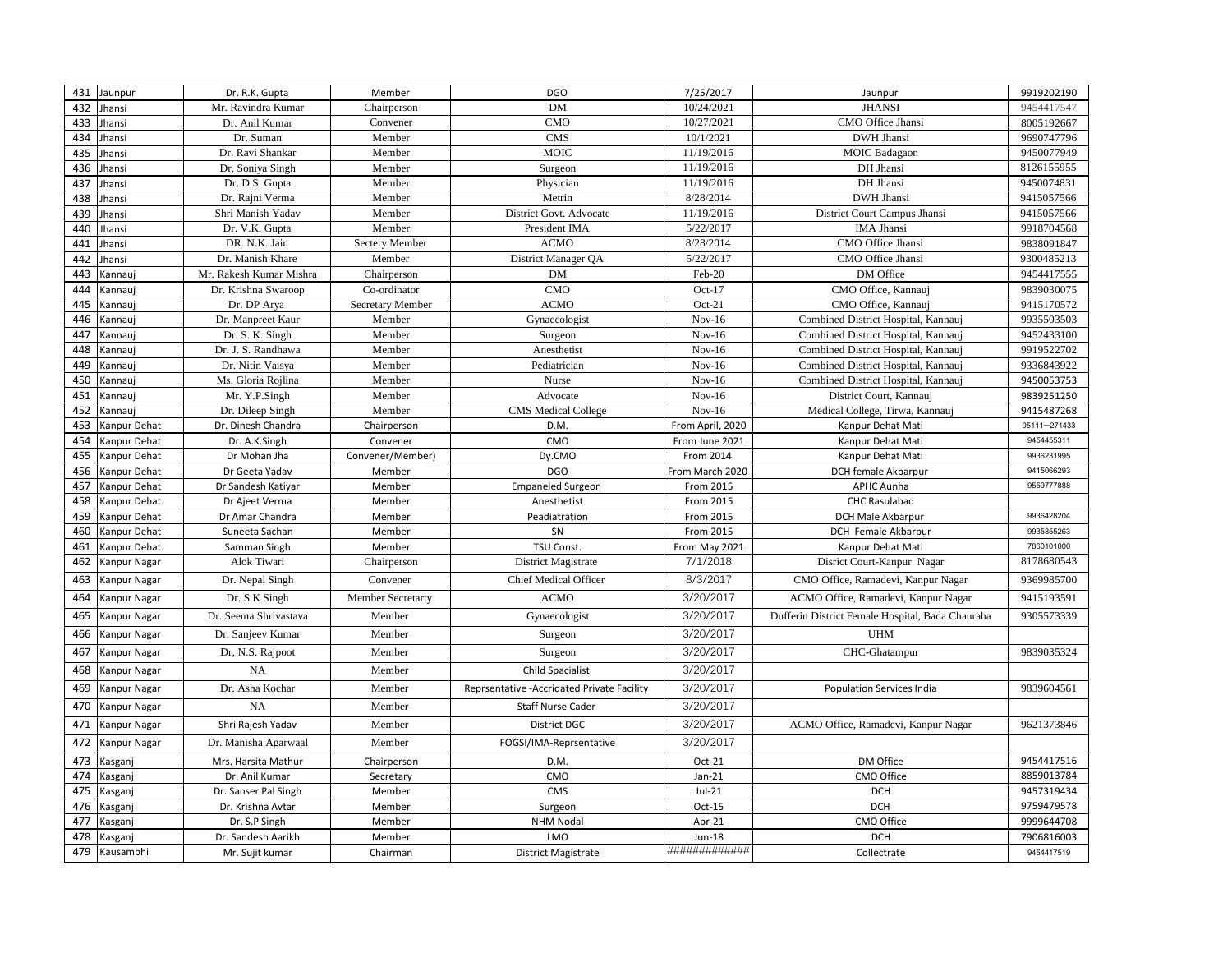| 431 | Jaunpur        | Dr. R.K. Gupta          | Member            | <b>DGO</b>                                  | 7/25/2017        | Jaunpur                                          | 9919202190   |
|-----|----------------|-------------------------|-------------------|---------------------------------------------|------------------|--------------------------------------------------|--------------|
| 432 | Jhansi         | Mr. Ravindra Kumar      | Chairperson       | DM                                          | 10/24/2021       | <b>JHANSI</b>                                    | 9454417547   |
| 433 | Jhansi         | Dr. Anil Kumar          | Convener          | <b>CMO</b>                                  | 10/27/2021       | CMO Office Jhansi                                | 8005192667   |
| 434 | Jhansi         | Dr. Suman               | Member            | <b>CMS</b>                                  | 10/1/2021        | <b>DWH</b> Jhansi                                | 9690747796   |
| 435 | Jhansi         | Dr. Ravi Shankar        | Member            | <b>MOIC</b>                                 | 11/19/2016       | <b>MOIC</b> Badagaon                             | 9450077949   |
| 436 | Jhansi         | Dr. Soniya Singh        | Member            | Surgeon                                     | 11/19/2016       | DH Jhansi                                        | 8126155955   |
| 437 | Jhansi         | Dr. D.S. Gupta          | Member            | Physician                                   | 11/19/2016       | DH Jhansi                                        | 9450074831   |
| 438 | Jhansi         | Dr. Rajni Verma         | Member            | Metrin                                      | 8/28/2014        | <b>DWH</b> Jhansi                                | 9415057566   |
| 439 | Jhansi         | Shri Manish Yadav       | Member            | District Govt. Advocate                     | 11/19/2016       | District Court Campus Jhansi                     | 9415057566   |
| 440 | Jhansi         | Dr. V.K. Gupta          | Member            | President IMA                               | 5/22/2017        | <b>IMA</b> Jhansi                                | 9918704568   |
| 441 | Jhansi         | DR. N.K. Jain           | Sectery Member    | <b>ACMO</b>                                 | 8/28/2014        | CMO Office Jhansi                                | 9838091847   |
| 442 | Jhansi         | Dr. Manish Khare        | Member            | District Manager QA                         | 5/22/2017        | CMO Office Jhansi                                | 9300485213   |
| 443 | Kannauj        | Mr. Rakesh Kumar Mishra | Chairperson       | <b>DM</b>                                   | Feb-20           | DM Office                                        | 9454417555   |
| 444 | Kannauj        | Dr. Krishna Swaroop     | Co-ordinator      | <b>CMO</b>                                  | Oct-17           | CMO Office, Kannauj                              | 9839030075   |
| 445 | Kannauj        | Dr. DP Arya             | Secretary Member  | <b>ACMO</b>                                 | $Oct-21$         | CMO Office, Kannauj                              | 9415170572   |
| 446 | Kannauj        | Dr. Manpreet Kaur       | Member            | Gynaecologist                               | $Nov-16$         | Combined District Hospital, Kannauj              | 9935503503   |
| 447 | Kannauj        | Dr. S. K. Singh         | Member            | Surgeon                                     | $Nov-16$         | Combined District Hospital, Kannauj              | 9452433100   |
| 448 | <b>Cannauj</b> | Dr. J. S. Randhawa      | Member            | Anesthetist                                 | $Nov-16$         | Combined District Hospital, Kannauj              | 9919522702   |
| 449 | Kannauj        | Dr. Nitin Vaisya        | Member            | Pediatrician                                | $Nov-16$         | Combined District Hospital, Kannauj              | 9336843922   |
| 450 | Kannauj        | Ms. Gloria Rojlina      | Member            | Nurse                                       | $Nov-16$         | Combined District Hospital, Kannauj              | 9450053753   |
| 451 | Kannauj        | Mr. Y.P.Singh           | Member            | Advocate                                    | $Nov-16$         | District Court, Kannauj                          | 9839251250   |
| 452 | <b>Cannauj</b> | Dr. Dileep Singh        | Member            | <b>CMS</b> Medical College                  | $Nov-16$         | Medical College, Tirwa, Kannauj                  | 9415487268   |
| 453 | Kanpur Dehat   | Dr. Dinesh Chandra      | Chairperson       | D.M.                                        | From April, 2020 | Kanpur Dehat Mati                                | 05111-271433 |
| 454 | Kanpur Dehat   | Dr. A.K.Singh           | Convener          | CMO                                         | From June 2021   | Kanpur Dehat Mati                                | 9454455311   |
| 455 | Kanpur Dehat   | Dr Mohan Jha            | Convener/Member)  | Dy.CMO                                      | From 2014        | Kanpur Dehat Mati                                | 9936231995   |
| 456 | Kanpur Dehat   | Dr Geeta Yadav          | Member            | <b>DGO</b>                                  | From March 2020  | DCH female Akbarpur                              | 9415066293   |
| 457 | Kanpur Dehat   | Dr Sandesh Katiyar      | Member            | <b>Empaneled Surgeon</b>                    | From 2015        | <b>APHC Aunha</b>                                | 9559777888   |
| 458 | Kanpur Dehat   | Dr Ajeet Verma          | Member            | Anesthetist                                 | From 2015        | <b>CHC Rasulabad</b>                             |              |
| 459 | Kanpur Dehat   | Dr Amar Chandra         | Member            | Peadiatration                               | From 2015        | DCH Male Akbarpur                                | 9936428204   |
| 460 | Kanpur Dehat   | Suneeta Sachan          | Member            | SN                                          | From 2015        | DCH Female Akbarpur                              | 9935855263   |
| 461 | Kanpur Dehat   | Samman Singh            | Member            | TSU Const.                                  | From May 2021    | Kanpur Dehat Mati                                | 7860101000   |
| 462 | Kanpur Nagar   | Alok Tiwari             | Chairperson       | District Magistrate                         | 7/1/2018         | Disrict Court-Kanpur Nagar                       | 8178680543   |
| 463 | Kanpur Nagar   | Dr. Nepal Singh         | Convener          | <b>Chief Medical Officer</b>                | 8/3/2017         | CMO Office, Ramadevi, Kanpur Nagar               | 9369985700   |
| 464 | Kanpur Nagar   | Dr. S K Singh           | Member Secretarty | <b>ACMO</b>                                 | 3/20/2017        | ACMO Office, Ramadevi, Kanpur Nagar              | 9415193591   |
| 465 | Kanpur Nagar   | Dr. Seema Shrivastava   | Member            | Gynaecologist                               | 3/20/2017        | Dufferin District Female Hospital, Bada Chauraha | 9305573339   |
| 466 | Kanpur Nagar   | Dr. Sanjeev Kumar       | Member            | Surgeon                                     | 3/20/2017        | <b>UHM</b>                                       |              |
| 467 | Kanpur Nagar   | Dr, N.S. Rajpoot        | Member            | Surgeon                                     | 3/20/2017        | CHC-Ghatampur                                    | 9839035324   |
| 468 | Kanpur Nagar   | <b>NA</b>               | Member            | <b>Child Spacialist</b>                     | 3/20/2017        |                                                  |              |
| 469 | Kanpur Nagar   | Dr. Asha Kochar         | Member            | Reprsentative - Accridated Private Facility | 3/20/2017        | <b>Population Services India</b>                 | 9839604561   |
| 470 | Kanpur Nagar   | <b>NA</b>               | Member            | <b>Staff Nurse Cader</b>                    | 3/20/2017        |                                                  |              |
| 471 | Kanpur Nagar   | Shri Rajesh Yadav       | Member            | District DGC                                | 3/20/2017        | ACMO Office, Ramadevi, Kanpur Nagar              | 9621373846   |
| 472 | Kanpur Nagar   | Dr. Manisha Agarwaal    | Member            | FOGSI/IMA-Reprsentative                     | 3/20/2017        |                                                  |              |
| 473 | Kasganj        | Mrs. Harsita Mathur     | Chairperson       | D.M.                                        | $Oct-21$         | DM Office                                        | 9454417516   |
| 474 | Kasganj        | Dr. Anil Kumar          | Secretary         | CMO                                         | $Jan-21$         | CMO Office                                       | 8859013784   |
| 475 | Kasganj        | Dr. Sanser Pal Singh    | Member            | CMS                                         | $Jul-21$         | <b>DCH</b>                                       | 9457319434   |
| 476 | Kasganj        | Dr. Krishna Avtar       | Member            | Surgeon                                     | $Oct-15$         | <b>DCH</b>                                       | 9759479578   |
| 477 | Kasganj        | Dr. S.P Singh           | Member            | <b>NHM Nodal</b>                            | Apr-21           | CMO Office                                       | 9999644708   |
| 478 | Kasganj        | Dr. Sandesh Aarikh      | Member            | LMO                                         | <b>Jun-18</b>    | <b>DCH</b>                                       | 7906816003   |
| 479 | Kausambhi      | Mr. Sujit kumar         | Chairman          | <b>District Magistrate</b>                  | #############    | Collectrate                                      | 9454417519   |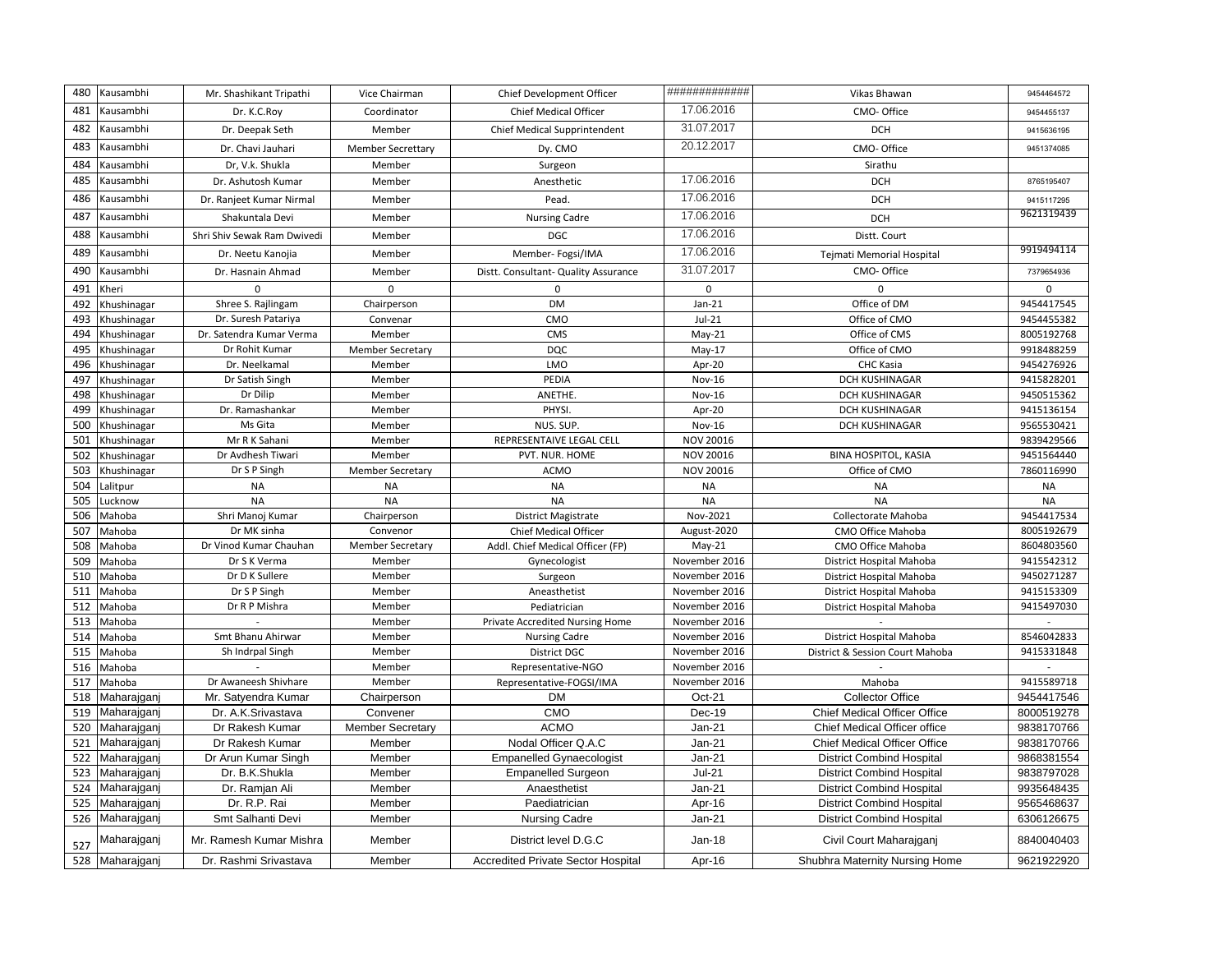| 480        | Kausambhi                  | Mr. Shashikant Tripathi                   | Vice Chairman                     | Chief Development Officer                      | #############                  | Vikas Bhawan                        | 9454464572               |
|------------|----------------------------|-------------------------------------------|-----------------------------------|------------------------------------------------|--------------------------------|-------------------------------------|--------------------------|
| 481        | Kausambhi                  | Dr. K.C.Roy                               | Coordinator                       | Chief Medical Officer                          | 17.06.2016                     | CMO-Office                          | 9454455137               |
| 482        | Kausambhi                  | Dr. Deepak Seth                           | Member                            | Chief Medical Supprintendent                   | 31.07.2017                     | <b>DCH</b>                          | 9415636195               |
| 483        | Kausambhi                  | Dr. Chavi Jauhari                         | <b>Member Secrettary</b>          | Dy. CMO                                        | 20.12.2017                     | CMO-Office                          | 9451374085               |
| 484        | Kausambhi                  | Dr, V.k. Shukla                           | Member                            | Surgeon                                        |                                | Sirathu                             |                          |
| 485        | Kausambhi                  | Dr. Ashutosh Kumar                        | Member                            | Anesthetic                                     | 17.06.2016                     | <b>DCH</b>                          | 8765195407               |
| 486        | Kausambhi                  | Dr. Ranjeet Kumar Nirmal                  | Member                            | Pead.                                          | 17.06.2016                     | <b>DCH</b>                          | 9415117295               |
| 487        | Kausambhi                  | Shakuntala Devi                           | Member                            | <b>Nursing Cadre</b>                           | 17.06.2016                     | <b>DCH</b>                          | 9621319439               |
| 488        | Kausambhi                  | Shri Shiv Sewak Ram Dwivedi               | Member                            | <b>DGC</b>                                     | 17.06.2016                     | Distt. Court                        |                          |
| 489        | Kausambhi                  | Dr. Neetu Kanojia                         | Member                            | Member-Fogsi/IMA                               | 17.06.2016                     | Tejmati Memorial Hospital           | 9919494114               |
| 490        | Kausambhi                  | Dr. Hasnain Ahmad                         | Member                            | Distt. Consultant- Quality Assurance           | 31.07.2017                     | CMO- Office                         | 7379654936               |
| 491        |                            | $\Omega$                                  | $\Omega$                          | $\mathbf 0$                                    | $\mathbf 0$                    | $\Omega$                            |                          |
| 492        | Kheri                      |                                           |                                   | <b>DM</b>                                      | $Jan-21$                       | Office of DM                        | $\Omega$<br>9454417545   |
|            | Khushinagar                | Shree S. Rajlingam                        | Chairperson                       | CMO                                            |                                |                                     |                          |
| 493        | Khushinagar                | Dr. Suresh Patariya                       | Convenar                          |                                                | $Jul-21$                       | Office of CMO                       | 9454455382               |
| 494<br>495 | Khushinagar                | Dr. Satendra Kumar Verma                  | Member                            | <b>CMS</b>                                     | $May-21$                       | Office of CMS                       | 8005192768               |
|            | Khushinagar                | Dr Rohit Kumar<br>Dr. Neelkamal           | <b>Member Secretary</b>           | <b>DQC</b><br>LMO                              | $May-17$<br>Apr-20             | Office of CMO<br><b>CHC Kasia</b>   | 9918488259<br>9454276926 |
| 496        | Khushinagar                |                                           | Member                            | PEDIA                                          | <b>Nov-16</b>                  |                                     |                          |
| 497        | Khushinagar                | Dr Satish Singh                           | Member                            |                                                |                                | <b>DCH KUSHINAGAR</b>               | 9415828201               |
| 498        | Khushinagar                | Dr Dilip                                  | Member                            | ANETHE.                                        | Nov-16                         | <b>DCH KUSHINAGAR</b>               | 9450515362               |
| 499<br>500 | <b>Chushinagar</b>         | Dr. Ramashankar                           | Member                            | PHYSI.                                         | Apr-20                         | <b>DCH KUSHINAGAR</b>               | 9415136154               |
| 501        | Khushinagar                | Ms Gita<br>Mr R K Sahani                  | Member                            | NUS. SUP.                                      | Nov-16                         | <b>DCH KUSHINAGAR</b>               | 9565530421               |
| 502        | Khushinagar                | Dr Avdhesh Tiwari                         | Member                            | REPRESENTAIVE LEGAL CELL                       | NOV 20016                      | <b>BINA HOSPITOL, KASIA</b>         | 9839429566               |
| 503        | Khushinagar<br>Khushinagar | Dr S P Singh                              | Member<br><b>Member Secretary</b> | PVT. NUR. HOME<br><b>ACMO</b>                  | NOV 20016<br>NOV 20016         | Office of CMO                       | 9451564440<br>7860116990 |
|            |                            |                                           |                                   |                                                |                                |                                     |                          |
|            |                            |                                           |                                   |                                                |                                |                                     |                          |
| 504        | Lalitpur                   | <b>NA</b>                                 | <b>NA</b>                         | <b>NA</b>                                      | <b>NA</b>                      | <b>NA</b>                           | <b>NA</b>                |
| 505        | Lucknow                    | <b>NA</b>                                 | <b>NA</b>                         | <b>NA</b>                                      | <b>NA</b>                      | <b>NA</b>                           | <b>NA</b>                |
| 506        | Mahoba                     | Shri Manoj Kumar                          | Chairperson                       | <b>District Magistrate</b>                     | Nov-2021                       | Collectorate Mahoba                 | 9454417534               |
| 507        | Mahoba                     | Dr MK sinha                               | Convenor                          | Chief Medical Officer                          | August-2020                    | CMO Office Mahoba                   | 8005192679               |
| 508        | Mahoba                     | Dr Vinod Kumar Chauhan                    | <b>Member Secretary</b>           | Addl. Chief Medical Officer (FP)               | $May-21$                       | CMO Office Mahoba                   | 8604803560               |
| 509        | Mahoba                     | Dr S K Verma                              | Member                            | Gynecologist                                   | November 2016                  | District Hospital Mahoba            | 9415542312               |
| 510        | Mahoba                     | Dr D K Sullere                            | Member                            | Surgeon                                        | November 2016                  | District Hospital Mahoba            | 9450271287               |
| 511        | Mahoba                     | Dr S P Singh                              | Member                            | Aneasthetist                                   | November 2016                  | District Hospital Mahoba            | 9415153309               |
| 512        | Mahoba                     | Dr R P Mishra                             | Member                            | Pediatrician                                   | November 2016                  | District Hospital Mahoba            | 9415497030               |
| 513        | Mahoba                     |                                           | Member<br>Member                  | Private Accredited Nursing Home                | November 2016<br>November 2016 |                                     | 8546042833               |
| 514        | Mahoba                     | Smt Bhanu Ahirwar                         |                                   | <b>Nursing Cadre</b>                           | November 2016                  | District Hospital Mahoba            |                          |
| 515<br>516 | Mahoba<br>Mahoba           | Sh Indrpal Singh                          | Member<br>Member                  | <b>District DGC</b>                            | November 2016                  | District & Session Court Mahoba     | 9415331848               |
| 517        | Mahoba                     | Dr Awaneesh Shivhare                      | Member                            | Representative-NGO<br>Representative-FOGSI/IMA | November 2016                  | Mahoba                              | 9415589718               |
|            |                            |                                           |                                   | DM                                             |                                | <b>Collector Office</b>             | 9454417546               |
| 518<br>519 | Maharajganj<br>Maharajganj | Mr. Satyendra Kumar<br>Dr. A.K.Srivastava | Chairperson<br>Convener           | CMO                                            | Oct-21<br>Dec-19               | <b>Chief Medical Officer Office</b> | 8000519278               |
| 520        | Maharajgan                 | Dr Rakesh Kumar                           | <b>Member Secretary</b>           | <b>ACMO</b>                                    | $Jan-21$                       | Chief Medical Officer office        | 9838170766               |
| 521        | Maharajganj                | Dr Rakesh Kumar                           | Member                            | Nodal Officer Q.A.C                            | $Jan-21$                       | Chief Medical Officer Office        | 9838170766               |
| 522        | Maharajganj                | Dr Arun Kumar Singh                       | Member                            | <b>Empanelled Gynaecologist</b>                | $Jan-21$                       | <b>District Combind Hospital</b>    | 9868381554               |
| 523        |                            | Dr. B.K.Shukla                            | Member                            | <b>Empanelled Surgeon</b>                      | $Jul-21$                       | <b>District Combind Hospital</b>    | 9838797028               |
| 524        | Maharajganj<br>Maharajganj | Dr. Ramjan Ali                            | Member                            | Anaesthetist                                   | $Jan-21$                       | <b>District Combind Hospital</b>    | 9935648435               |
| 525        | Maharajganj                | Dr. R.P. Rai                              | Member                            | Paediatrician                                  | Apr-16                         | <b>District Combind Hospital</b>    | 9565468637               |
|            | 526 Maharajganj            | Smt Salhanti Devi                         | Member                            | <b>Nursing Cadre</b>                           | $Jan-21$                       | <b>District Combind Hospital</b>    | 6306126675               |
| 527        | Maharajganj                | Mr. Ramesh Kumar Mishra                   | Member                            | District level D.G.C                           | $Jan-18$                       | Civil Court Maharajganj             | 8840040403               |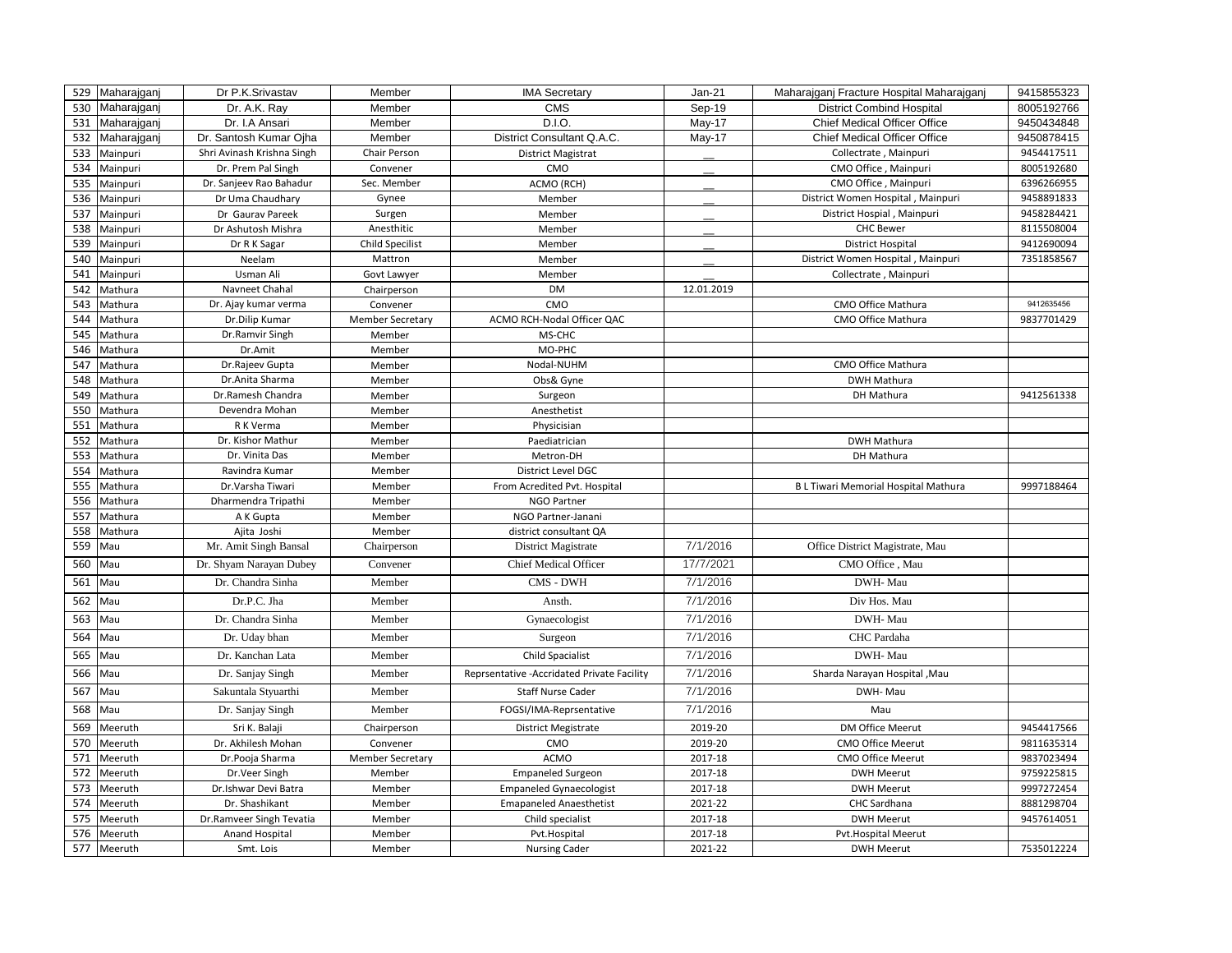| 529        | Maharajganj        | Dr P.K.Srivastav               | Member                  | <b>IMA Secretary</b>                        | $Jan-21$      | Maharajganj Fracture Hospital Maharajganj  | 9415855323 |
|------------|--------------------|--------------------------------|-------------------------|---------------------------------------------|---------------|--------------------------------------------|------------|
| 530        | Maharajganj        | Dr. A.K. Ray                   | Member                  | <b>CMS</b>                                  | Sep-19        | <b>District Combind Hospital</b>           | 8005192766 |
| 531        | Maharajganj        | Dr. I.A Ansari                 | Member                  | D.I.O.                                      | <b>May-17</b> | Chief Medical Officer Office               | 9450434848 |
| 532        | Maharajganj        | Dr. Santosh Kumar Ojha         | Member                  | District Consultant Q.A.C.                  | May-17        | <b>Chief Medical Officer Office</b>        | 9450878415 |
| 533        | Mainpuri           | Shri Avinash Krishna Singh     | Chair Person            | <b>District Magistrat</b>                   |               | Collectrate, Mainpuri                      | 9454417511 |
| 534        | Mainpuri           | Dr. Prem Pal Singh             | Convener                | CMO                                         |               | CMO Office, Mainpuri                       | 8005192680 |
| 535        | Mainpuri           | Dr. Sanjeev Rao Bahadur        | Sec. Member             | ACMO (RCH)                                  |               | CMO Office, Mainpuri                       | 6396266955 |
| 536        | Mainpuri           | Dr Uma Chaudhary               | Gynee                   | Member                                      |               | District Women Hospital, Mainpuri          | 9458891833 |
| 537        | Mainpuri           | Dr Gaurav Pareek               | Surgen                  | Member                                      |               | District Hospial, Mainpuri                 | 9458284421 |
| 538        | Mainpuri           | Dr Ashutosh Mishra             | Anesthitic              | Member                                      |               | <b>CHC Bewer</b>                           | 8115508004 |
| 539        | Mainpuri           | Dr R K Sagar                   | <b>Child Specilist</b>  | Member                                      |               | <b>District Hospital</b>                   | 9412690094 |
| 540        | Mainpuri           | Neelam                         | Mattron                 | Member                                      |               | District Women Hospital, Mainpuri          | 7351858567 |
| 541        | Mainpuri           | Usman Ali                      | Govt Lawyer             | Member                                      |               | Collectrate, Mainpuri                      |            |
| 542        | Mathura            | Navneet Chahal                 | Chairperson             | <b>DM</b>                                   | 12.01.2019    |                                            |            |
| 543        | Mathura            | Dr. Ajay kumar verma           | Convener                | CMO                                         |               | CMO Office Mathura                         | 9412635456 |
| 544        | Mathura            | Dr.Dilip Kumar                 | <b>Member Secretary</b> | ACMO RCH-Nodal Officer QAC                  |               | CMO Office Mathura                         | 9837701429 |
| 545        | Mathura            | Dr.Ramvir Singh                | Member                  | MS-CHC                                      |               |                                            |            |
| 546        | Mathura            | Dr.Amit                        | Member                  | MO-PHC                                      |               |                                            |            |
| 547        | Mathura            | Dr.Rajeev Gupta                | Member                  | Nodal-NUHM                                  |               | CMO Office Mathura                         |            |
| 548        | Mathura            | Dr.Anita Sharma                | Member                  | Obs& Gyne                                   |               | DWH Mathura                                |            |
| 549        | Mathura            | Dr.Ramesh Chandra              | Member                  | Surgeon                                     |               | DH Mathura                                 | 9412561338 |
| 550        | Mathura            | Devendra Mohan                 | Member                  | Anesthetist                                 |               |                                            |            |
| 551<br>552 | Mathura            | R K Verma<br>Dr. Kishor Mathur | Member                  | Physicisian                                 |               |                                            |            |
| 553        | Mathura            | Dr. Vinita Das                 | Member                  | Paediatrician                               |               | <b>DWH Mathura</b>                         |            |
| 554        | Mathura<br>Mathura | Ravindra Kumar                 | Member<br>Member        | Metron-DH<br>District Level DGC             |               | DH Mathura                                 |            |
| 555        | Mathura            | Dr.Varsha Tiwari               | Member                  | From Acredited Pvt. Hospital                |               | <b>BL Tiwari Memorial Hospital Mathura</b> | 9997188464 |
| 556        | Mathura            | Dharmendra Tripathi            | Member                  | <b>NGO Partner</b>                          |               |                                            |            |
| 557        | Mathura            | A K Gupta                      | Member                  | NGO Partner-Janani                          |               |                                            |            |
| 558        | Mathura            | Ajita Joshi                    | Member                  | district consultant QA                      |               |                                            |            |
| 559<br>Mau |                    | Mr. Amit Singh Bansal          | Chairperson             | District Magistrate                         | 7/1/2016      | Office District Magistrate, Mau            |            |
| 560<br>Mau |                    | Dr. Shyam Narayan Dubey        | Convener                | <b>Chief Medical Officer</b>                | 17/7/2021     | CMO Office, Mau                            |            |
| 561<br>Mau |                    | Dr. Chandra Sinha              | Member                  | CMS - DWH                                   | 7/1/2016      | DWH-Mau                                    |            |
|            |                    |                                |                         |                                             |               |                                            |            |
| 562<br>Mau |                    | Dr.P.C. Jha                    | Member                  | Ansth.                                      | 7/1/2016      | Div Hos. Mau                               |            |
| 563<br>Mau |                    | Dr. Chandra Sinha              | Member                  | Gynaecologist                               | 7/1/2016      | DWH-Mau                                    |            |
| 564<br>Mau |                    | Dr. Uday bhan                  | Member                  | Surgeon                                     | 7/1/2016      | CHC Pardaha                                |            |
| 565<br>Mau |                    | Dr. Kanchan Lata               | Member                  | <b>Child Spacialist</b>                     | 7/1/2016      | DWH-Mau                                    |            |
| 566<br>Mau |                    | Dr. Sanjay Singh               | Member                  | Reprsentative - Accridated Private Facility | 7/1/2016      | Sharda Narayan Hospital, Mau               |            |
| 567<br>Mau |                    | Sakuntala Styuarthi            | Member                  | <b>Staff Nurse Cader</b>                    | 7/1/2016      | DWH-Mau                                    |            |
| 568<br>Mau |                    | Dr. Sanjay Singh               | Member                  | FOGSI/IMA-Reprsentative                     | 7/1/2016      | Mau                                        |            |
| 569        | Meeruth            | Sri K. Balaji                  | Chairperson             | <b>District Megistrate</b>                  | 2019-20       | DM Office Meerut                           | 9454417566 |
| 570        | Meeruth            | Dr. Akhilesh Mohan             | Convener                | CMO                                         | 2019-20       | <b>CMO Office Meerut</b>                   | 9811635314 |
| 571        | Meeruth            | Dr.Pooja Sharma                | <b>Member Secretary</b> | <b>ACMO</b>                                 | 2017-18       | CMO Office Meerut                          | 9837023494 |
| 572        | Meeruth            | Dr.Veer Singh                  | Member                  | <b>Empaneled Surgeon</b>                    | 2017-18       | <b>DWH Meerut</b>                          | 9759225815 |
| 573        | Meeruth            | Dr.Ishwar Devi Batra           | Member                  | <b>Empaneled Gynaecologist</b>              | 2017-18       | <b>DWH Meerut</b>                          | 9997272454 |
| 574        | Meeruth            | Dr. Shashikant                 | Member                  | <b>Emapaneled Anaesthetist</b>              | 2021-22       | CHC Sardhana                               | 8881298704 |
| 575        | Meeruth            | Dr.Ramveer Singh Tevatia       | Member                  | Child specialist                            | 2017-18       | <b>DWH Meerut</b>                          | 9457614051 |
| 576        | Meeruth            | Anand Hospital                 | Member                  | Pvt.Hospital                                | 2017-18       | <b>Pvt.Hospital Meerut</b>                 |            |
| 577        | Meeruth            | Smt. Lois                      | Member                  | <b>Nursing Cader</b>                        | 2021-22       | <b>DWH Meerut</b>                          | 7535012224 |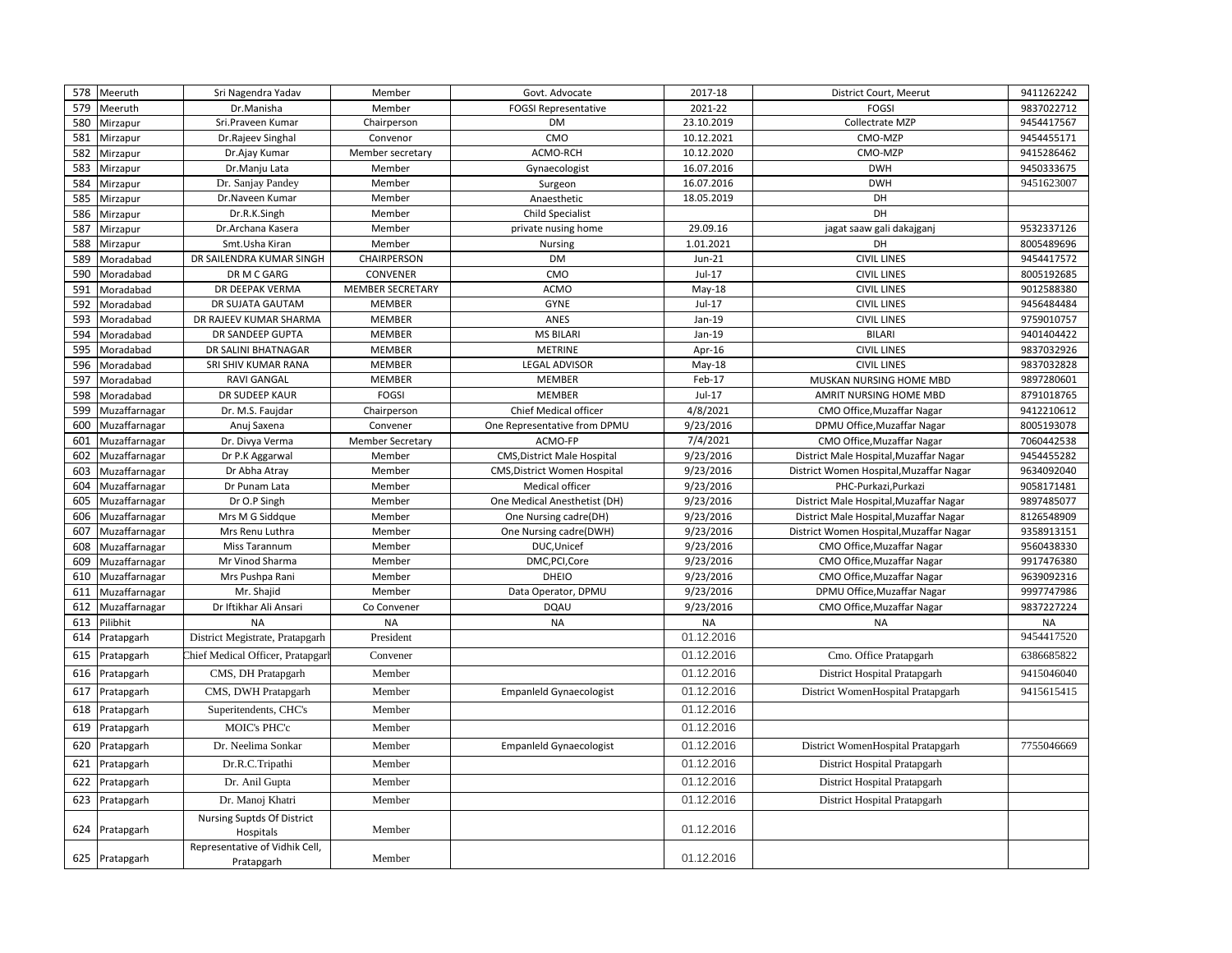| 578 | Meeruth        | Sri Nagendra Yadav                           | Member                  | Govt. Advocate                     | 2017-18    | District Court, Meerut                  | 9411262242 |
|-----|----------------|----------------------------------------------|-------------------------|------------------------------------|------------|-----------------------------------------|------------|
| 579 | Meeruth        | Dr.Manisha                                   | Member                  | <b>FOGSI Representative</b>        | 2021-22    | <b>FOGSI</b>                            | 9837022712 |
| 580 | Mirzapur       | Sri.Praveen Kumar                            | Chairperson             | DM                                 | 23.10.2019 | Collectrate MZP                         | 9454417567 |
| 581 | Mirzapur       | Dr.Rajeev Singhal                            | Convenor                | CMO                                | 10.12.2021 | CMO-MZP                                 | 9454455171 |
| 582 | Mirzapur       | Dr.Ajay Kumar                                | Member secretary        | ACMO-RCH                           | 10.12.2020 | CMO-MZP                                 | 9415286462 |
| 583 | Mirzapur       | Dr.Manju Lata                                | Member                  | Gynaecologist                      | 16.07.2016 | <b>DWH</b>                              | 9450333675 |
| 584 | Mirzapur       | Dr. Sanjay Pandey                            | Member                  | Surgeon                            | 16.07.2016 | <b>DWH</b>                              | 9451623007 |
| 585 | Mirzapur       | Dr.Naveen Kumar                              | Member                  | Anaesthetic                        | 18.05.2019 | DH                                      |            |
| 586 | Mirzapur       | Dr.R.K.Singh                                 | Member                  | Child Specialist                   |            | DH                                      |            |
| 587 | Mirzapur       | Dr.Archana Kasera                            | Member                  | private nusing home                | 29.09.16   | jagat saaw gali dakajganj               | 9532337126 |
| 588 | Mirzapur       | Smt.Usha Kiran                               | Member                  | <b>Nursing</b>                     | 1.01.2021  | DH                                      | 8005489696 |
| 589 | Moradabad      | DR SAILENDRA KUMAR SINGH                     | CHAIRPERSON             | <b>DM</b>                          | $Jun-21$   | <b>CIVIL LINES</b>                      | 9454417572 |
| 590 | Moradabad      | DR M C GARG                                  | <b>CONVENER</b>         | CMO                                | $Jul-17$   | <b>CIVIL LINES</b>                      | 8005192685 |
| 591 | Moradabad      | DR DEEPAK VERMA                              | <b>MEMBER SECRETARY</b> | <b>ACMO</b>                        | $May-18$   | <b>CIVIL LINES</b>                      | 9012588380 |
| 592 | Moradabad      | DR SUJATA GAUTAM                             | <b>MEMBER</b>           | <b>GYNE</b>                        | $Jul-17$   | <b>CIVIL LINES</b>                      | 9456484484 |
| 593 | Moradabad      | DR RAJEEV KUMAR SHARMA                       | <b>MEMBER</b>           | ANES                               | Jan-19     | <b>CIVIL LINES</b>                      | 9759010757 |
| 594 | Moradabad      | DR SANDEEP GUPTA                             | <b>MEMBER</b>           | <b>MS BILARI</b>                   | Jan-19     | <b>BILARI</b>                           | 9401404422 |
| 595 | Moradabad      | DR SALINI BHATNAGAR                          | <b>MEMBER</b>           | <b>METRINE</b>                     | Apr-16     | <b>CIVIL LINES</b>                      | 9837032926 |
| 596 | Moradabad      | SRI SHIV KUMAR RANA                          | <b>MEMBER</b>           | <b>LEGAL ADVISOR</b>               | May-18     | <b>CIVIL LINES</b>                      | 9837032828 |
| 597 | Moradabad      | <b>RAVI GANGAL</b>                           | MEMBER                  | <b>MEMBER</b>                      | Feb-17     | MUSKAN NURSING HOME MBD                 | 9897280601 |
| 598 | Moradabad      | DR SUDEEP KAUR                               | <b>FOGSI</b>            | <b>MEMBER</b>                      | $Jul-17$   | AMRIT NURSING HOME MBD                  | 8791018765 |
| 599 | Muzaffarnagar  | Dr. M.S. Faujdar                             | Chairperson             | Chief Medical officer              | 4/8/2021   | CMO Office, Muzaffar Nagar              | 9412210612 |
| 600 | Muzaffarnagar  | Anuj Saxena                                  | Convener                | One Representative from DPMU       | 9/23/2016  | DPMU Office, Muzaffar Nagar             | 8005193078 |
| 601 | Muzaffarnagar  | Dr. Divya Verma                              | <b>Member Secretary</b> | ACMO-FP                            | 7/4/2021   | CMO Office, Muzaffar Nagar              | 7060442538 |
| 602 | Muzaffarnagar  | Dr P.K Aggarwal                              | Member                  | <b>CMS, District Male Hospital</b> | 9/23/2016  | District Male Hospital, Muzaffar Nagar  | 9454455282 |
| 603 | Muzaffarnagar  | Dr Abha Atray                                | Member                  | CMS, District Women Hospital       | 9/23/2016  | District Women Hospital, Muzaffar Nagar | 9634092040 |
| 604 | Muzaffarnagar  | Dr Punam Lata                                | Member                  | Medical officer                    | 9/23/2016  | PHC-Purkazi, Purkazi                    | 9058171481 |
| 605 | Muzaffarnagar  | Dr O.P Singh                                 | Member                  | One Medical Anesthetist (DH)       | 9/23/2016  | District Male Hospital, Muzaffar Nagar  | 9897485077 |
| 606 | Muzaffarnagar  | Mrs M G Siddque                              | Member                  | One Nursing cadre(DH)              | 9/23/2016  | District Male Hospital, Muzaffar Nagar  | 8126548909 |
| 607 | Muzaffarnagar  | Mrs Renu Luthra                              | Member                  | One Nursing cadre(DWH)             | 9/23/2016  | District Women Hospital, Muzaffar Nagar | 9358913151 |
| 608 | Muzaffarnagar  | Miss Tarannum                                | Member                  | DUC, Unicef                        | 9/23/2016  | CMO Office, Muzaffar Nagar              | 9560438330 |
| 609 | Muzaffarnagar  | Mr Vinod Sharma                              | Member                  | DMC, PCI, Core                     | 9/23/2016  | CMO Office, Muzaffar Nagar              | 9917476380 |
| 610 | Muzaffarnagar  | Mrs Pushpa Rani                              | Member                  | DHEIO                              | 9/23/2016  | CMO Office, Muzaffar Nagar              | 9639092316 |
| 611 | Muzaffarnagar  | Mr. Shajid                                   | Member                  | Data Operator, DPMU                | 9/23/2016  | DPMU Office, Muzaffar Nagar             | 9997747986 |
| 612 | Muzaffarnagar  | Dr Iftikhar Ali Ansari                       | Co Convener             | <b>DQAU</b>                        | 9/23/2016  | CMO Office, Muzaffar Nagar              | 9837227224 |
| 613 | Pilibhit       | <b>NA</b>                                    | <b>NA</b>               | <b>NA</b>                          | <b>NA</b>  | <b>NA</b>                               | <b>NA</b>  |
| 614 | Pratapgarh     | District Megistrate, Pratapgarh              | President               |                                    | 01.12.2016 |                                         | 9454417520 |
| 615 | Pratapgarh     | Chief Medical Officer, Pratapgarl            | Convener                |                                    | 01.12.2016 | Cmo. Office Pratapgarh                  | 6386685822 |
| 616 | Pratapgarh     | CMS, DH Pratapgarh                           | Member                  |                                    | 01.12.2016 | District Hospital Pratapgarh            | 9415046040 |
| 617 | Pratapgarh     | CMS, DWH Pratapgarh                          | Member                  | <b>Empanield Gynaecologist</b>     | 01.12.2016 | District WomenHospital Pratapgarh       | 9415615415 |
| 618 | Pratapgarh     | Superitendents, CHC's                        | Member                  |                                    | 01.12.2016 |                                         |            |
| 619 | Pratapgarh     | <b>MOIC's PHC'c</b>                          | Member                  |                                    | 01.12.2016 |                                         |            |
| 620 | Pratapgarh     | Dr. Neelima Sonkar                           | Member                  | <b>Empanield Gynaecologist</b>     | 01.12.2016 | District WomenHospital Pratapgarh       | 7755046669 |
| 621 | Pratapgarh     | Dr.R.C.Tripathi                              | Member                  |                                    | 01.12.2016 | District Hospital Pratapgarh            |            |
| 622 | Pratapgarh     | Dr. Anil Gupta                               | Member                  |                                    | 01.12.2016 | District Hospital Pratapgarh            |            |
| 623 | Pratapgarh     | Dr. Manoj Khatri                             | Member                  |                                    | 01.12.2016 | District Hospital Pratapgarh            |            |
| 624 | Pratapgarh     | Nursing Suptds Of District<br>Hospitals      | Member                  |                                    | 01.12.2016 |                                         |            |
|     | 625 Pratapgarh | Representative of Vidhik Cell,<br>Pratapgarh | Member                  |                                    | 01.12.2016 |                                         |            |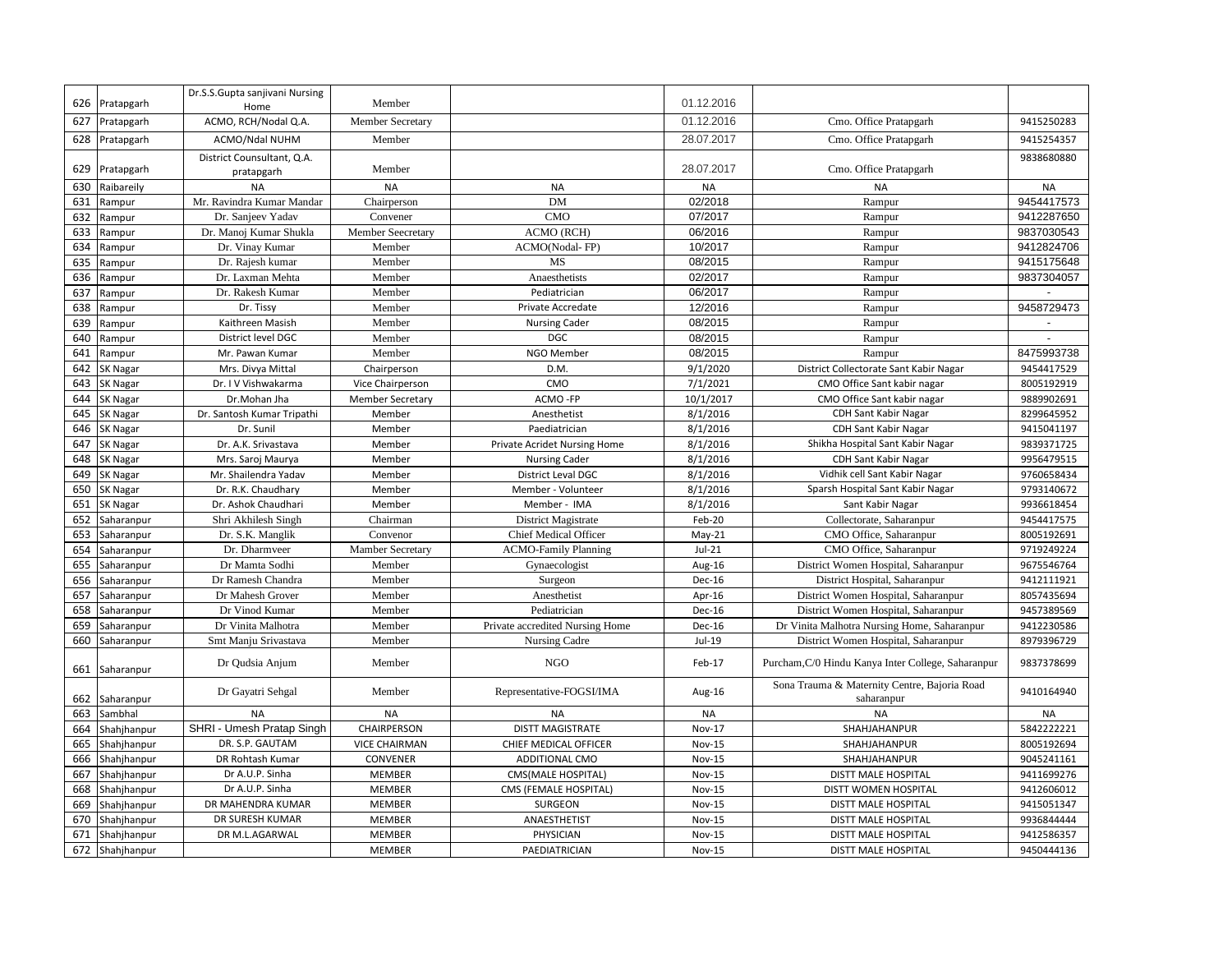|     |                 | Dr.S.S.Gupta sanjivani Nursing           |                          |                                 |               |                                                            |            |
|-----|-----------------|------------------------------------------|--------------------------|---------------------------------|---------------|------------------------------------------------------------|------------|
| 626 | Pratapgarh      | Home                                     | Member                   |                                 | 01.12.2016    |                                                            |            |
| 627 | Pratapgarh      | ACMO, RCH/Nodal Q.A.                     | Member Secretary         |                                 | 01.12.2016    | Cmo. Office Pratapgarh                                     | 9415250283 |
| 628 | Pratapgarh      | ACMO/Ndal NUHM                           | Member                   |                                 | 28.07.2017    | Cmo. Office Pratapgarh                                     | 9415254357 |
| 629 | Pratapgarh      | District Counsultant, Q.A.<br>pratapgarh | Member                   |                                 | 28.07.2017    | Cmo. Office Pratapgarh                                     | 9838680880 |
| 630 | Raibareily      | <b>NA</b>                                | <b>NA</b>                | <b>NA</b>                       | <b>NA</b>     | <b>NA</b>                                                  | <b>NA</b>  |
| 631 | Rampur          | Mr. Ravindra Kumar Mandar                | Chairperson              | <b>DM</b>                       | 02/2018       | Rampur                                                     | 9454417573 |
| 632 | Rampur          | Dr. Sanjeev Yadav                        | Convener                 | <b>CMO</b>                      | 07/2017       | Rampur                                                     | 9412287650 |
| 633 | Rampur          | Dr. Manoj Kumar Shukla                   | <b>Member Seecretary</b> | <b>ACMO (RCH)</b>               | 06/2016       | Rampur                                                     | 9837030543 |
| 634 | Rampur          | Dr. Vinay Kumar                          | Member                   | ACMO(Nodal-FP)                  | 10/2017       | Rampur                                                     | 9412824706 |
| 635 | Rampur          | Dr. Rajesh kumar                         | Member                   | <b>MS</b>                       | 08/2015       | Rampur                                                     | 9415175648 |
| 636 | Rampur          | Dr. Laxman Mehta                         | Member                   | Anaesthetists                   | 02/2017       | Rampur                                                     | 9837304057 |
| 637 | Rampur          | Dr. Rakesh Kumar                         | Member                   | Pediatrician                    | 06/2017       | Rampur                                                     |            |
| 638 | Rampur          | Dr. Tissy                                | Member                   | Private Accredate               | 12/2016       | Rampur                                                     | 9458729473 |
| 639 | Rampur          | Kaithreen Masish                         | Member                   | <b>Nursing Cader</b>            | 08/2015       | Rampur                                                     |            |
| 640 | Rampur          | District level DGC                       | Member                   | <b>DGC</b>                      | 08/2015       | Rampur                                                     |            |
| 641 | Rampur          | Mr. Pawan Kumar                          | Member                   | NGO Member                      | 08/2015       | Rampur                                                     | 8475993738 |
| 642 | SK Nagar        | Mrs. Divya Mittal                        | Chairperson              | D.M.                            | 9/1/2020      | District Collectorate Sant Kabir Nagar                     | 9454417529 |
| 643 | SK Nagar        | Dr. I V Vishwakarma                      | Vice Chairperson         | CMO                             | 7/1/2021      | CMO Office Sant kabir nagar                                | 8005192919 |
| 644 | SK Nagar        | Dr.Mohan Jha                             | <b>Member Secretary</b>  | ACMO-FP                         | 10/1/2017     | CMO Office Sant kabir nagar                                | 9889902691 |
| 645 | SK Nagar        | Dr. Santosh Kumar Tripathi               | Member                   | Anesthetist                     | 8/1/2016      | CDH Sant Kabir Nagar                                       | 8299645952 |
| 646 | SK Nagar        | Dr. Sunil                                | Member                   | Paediatrician                   | 8/1/2016      | <b>CDH Sant Kabir Nagar</b>                                | 9415041197 |
| 647 | SK Nagar        | Dr. A.K. Srivastava                      | Member                   | Private Acridet Nursing Home    | 8/1/2016      | Shikha Hospital Sant Kabir Nagar                           | 9839371725 |
| 648 | SK Nagar        | Mrs. Saroj Maurya                        | Member                   | <b>Nursing Cader</b>            | 8/1/2016      | <b>CDH Sant Kabir Nagar</b>                                | 9956479515 |
| 649 | SK Nagar        | Mr. Shailendra Yadav                     | Member                   | District Leval DGC              | 8/1/2016      | Vidhik cell Sant Kabir Nagar                               | 9760658434 |
| 650 | SK Nagar        | Dr. R.K. Chaudhary                       | Member                   | Member - Volunteer              | 8/1/2016      | Sparsh Hospital Sant Kabir Nagar                           | 9793140672 |
| 651 | SK Nagar        | Dr. Ashok Chaudhari                      | Member                   | Member - IMA                    | 8/1/2016      | Sant Kabir Nagar                                           | 9936618454 |
| 652 | Saharanpur      | Shri Akhilesh Singh                      | Chairman                 | District Magistrate             | Feb-20        | Collectorate, Saharanpur                                   | 9454417575 |
| 653 | Saharanpur      | Dr. S.K. Manglik                         | Convenor                 | <b>Chief Medical Officer</b>    | $May-21$      | CMO Office, Saharanpur                                     | 8005192691 |
| 654 | Saharanpur      | Dr. Dharmveer                            | Mamber Secretary         | <b>ACMO-Family Planning</b>     | $Jul-21$      | CMO Office, Saharanpur                                     | 9719249224 |
| 655 | Saharanpur      | Dr Mamta Sodhi                           | Member                   | Gynaecologist                   | Aug-16        | District Women Hospital, Saharanpur                        | 9675546764 |
| 656 | Saharanpur      | Dr Ramesh Chandra                        | Member                   | Surgeon                         | Dec-16        | District Hospital, Saharanpur                              | 9412111921 |
| 657 | Saharanpur      | Dr Mahesh Grover                         | Member                   | Anesthetist                     | Apr-16        | District Women Hospital, Saharanpur                        | 8057435694 |
| 658 | Saharanpur      | Dr Vinod Kumar                           | Member                   | Pediatrician                    | Dec-16        | District Women Hospital, Saharanpur                        | 9457389569 |
| 659 | Saharanpur      | Dr Vinita Malhotra                       | Member                   | Private accredited Nursing Home | <b>Dec-16</b> | Dr Vinita Malhotra Nursing Home, Saharanpur                | 9412230586 |
| 660 | Saharanpur      | Smt Manju Srivastava                     | Member                   | Nursing Cadre                   | Jul-19        | District Women Hospital, Saharanpur                        | 8979396729 |
|     | 661 Saharanpur  | Dr Qudsia Anjum                          | Member                   | <b>NGO</b>                      | Feb-17        | Purcham, C/0 Hindu Kanya Inter College, Saharanpur         | 9837378699 |
| 662 | Saharanpur      | Dr Gayatri Sehgal                        | Member                   | Representative-FOGSI/IMA        | Aug-16        | Sona Trauma & Maternity Centre, Bajoria Road<br>saharanpur | 9410164940 |
| 663 | Sambhal         | <b>NA</b>                                | <b>NA</b>                | <b>NA</b>                       | <b>NA</b>     | <b>NA</b>                                                  | <b>NA</b>  |
| 664 | Shahjhanpur     | SHRI - Umesh Pratap Singh                | <b>CHAIRPERSON</b>       | <b>DISTT MAGISTRATE</b>         | Nov-17        | SHAHJAHANPUR                                               | 5842222221 |
| 665 | Shahjhanpur     | DR. S.P. GAUTAM                          | <b>VICE CHAIRMAN</b>     | CHIEF MEDICAL OFFICER           | <b>Nov-15</b> | SHAHJAHANPUR                                               | 8005192694 |
| 666 | Shahjhanpur     | DR Rohtash Kumar                         | CONVENER                 | ADDITIONAL CMO                  | <b>Nov-15</b> | SHAHJAHANPUR                                               | 9045241161 |
| 667 | Shahjhanpur     | Dr A.U.P. Sinha                          | <b>MEMBER</b>            | CMS(MALE HOSPITAL)              | <b>Nov-15</b> | <b>DISTT MALE HOSPITAL</b>                                 | 9411699276 |
| 668 | Shahjhanpur     | Dr A.U.P. Sinha                          | MEMBER                   | CMS (FEMALE HOSPITAL)           | <b>Nov-15</b> | DISTT WOMEN HOSPITAL                                       | 9412606012 |
| 669 | Shahjhanpur     | DR MAHENDRA KUMAR                        | MEMBER                   | SURGEON                         | <b>Nov-15</b> | DISTT MALE HOSPITAL                                        | 9415051347 |
| 670 | Shahjhanpur     | DR SURESH KUMAR                          | MEMBER                   | ANAESTHETIST                    | <b>Nov-15</b> | DISTT MALE HOSPITAL                                        | 9936844444 |
| 671 | Shahjhanpur     | DR M.L.AGARWAL                           | <b>MEMBER</b>            | PHYSICIAN                       | <b>Nov-15</b> | <b>DISTT MALE HOSPITAL</b>                                 | 9412586357 |
|     | 672 Shahjhanpur |                                          | MEMBER                   | PAEDIATRICIAN                   | Nov-15        | <b>DISTT MALE HOSPITAL</b>                                 | 9450444136 |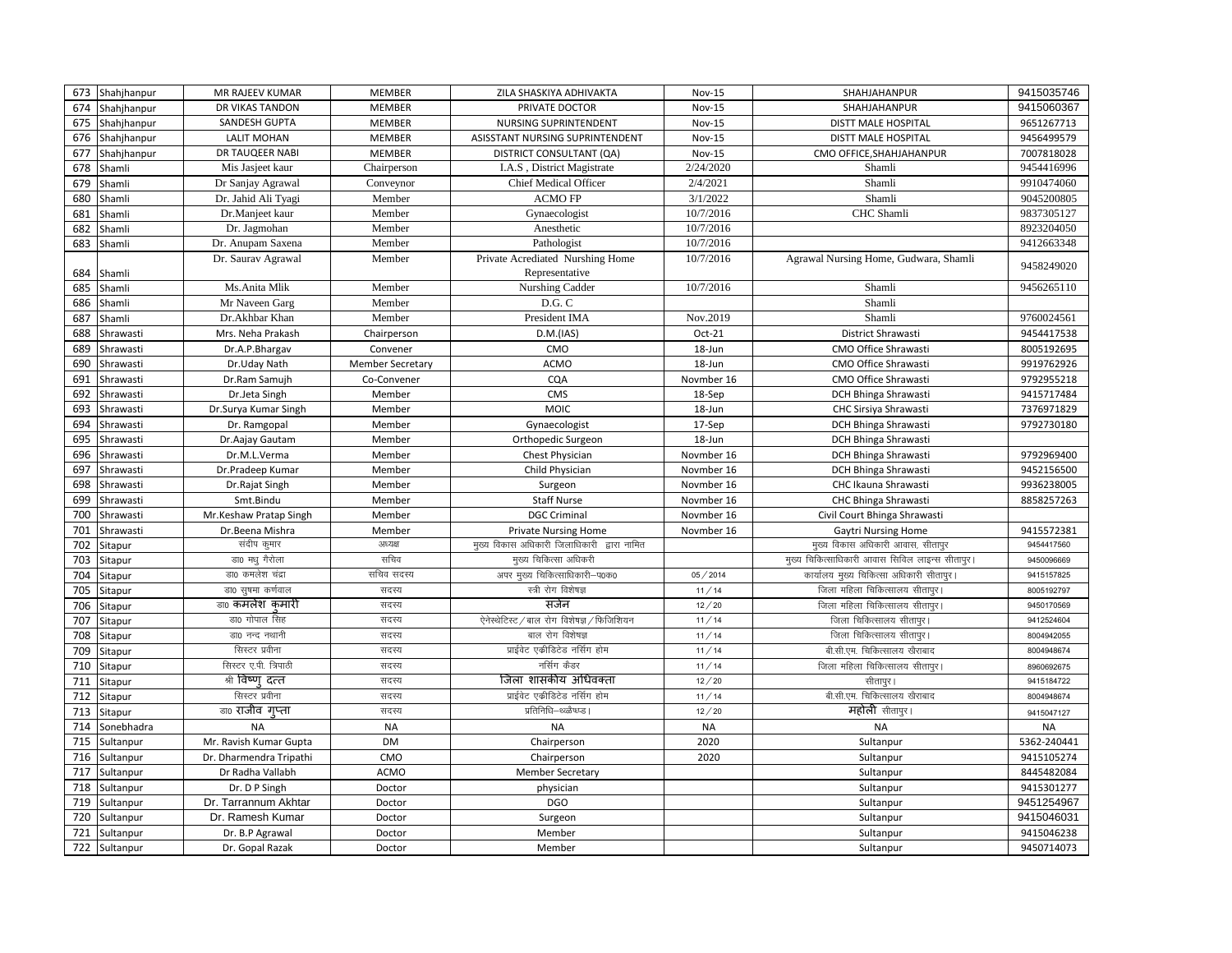| 673 | Shahjhanpur   | MR RAJEEV KUMAR             | <b>MEMBER</b>           | ZILA SHASKIYA ADHIVAKTA                     | <b>Nov-15</b> | SHAHJAHANPUR                                    | 9415035746  |
|-----|---------------|-----------------------------|-------------------------|---------------------------------------------|---------------|-------------------------------------------------|-------------|
| 674 | Shahjhanpur   | DR VIKAS TANDON             | <b>MEMBER</b>           | PRIVATE DOCTOR                              | <b>Nov-15</b> | SHAHJAHANPUR                                    | 9415060367  |
| 675 | Shahjhanpur   | SANDESH GUPTA               | <b>MEMBER</b>           | NURSING SUPRINTENDENT                       | <b>Nov-15</b> | DISTT MALE HOSPITAL                             | 9651267713  |
| 676 | Shahjhanpur   | <b>LALIT MOHAN</b>          | MEMBER                  | ASISSTANT NURSING SUPRINTENDENT             | <b>Nov-15</b> | <b>DISTT MALE HOSPITAL</b>                      | 9456499579  |
| 677 | Shahjhanpur   | DR TAUQEER NABI             | <b>MEMBER</b>           | DISTRICT CONSULTANT (QA)                    | <b>Nov-15</b> | CMO OFFICE, SHAHJAHANPUR                        | 7007818028  |
| 678 | Shamli        | Mis Jasjeet kaur            | Chairperson             | I.A.S, District Magistrate                  | 2/24/2020     | Shamli                                          | 9454416996  |
| 679 | Shamli        | Dr Sanjay Agrawal           | Conveynor               | Chief Medical Officer                       | 2/4/2021      | Shamli                                          | 9910474060  |
| 680 | Shamli        | Dr. Jahid Ali Tyagi         | Member                  | <b>ACMO FP</b>                              | 3/1/2022      | Shamli                                          | 9045200805  |
| 681 | Shamli        | Dr.Manjeet kaur             | Member                  | Gynaecologist                               | 10/7/2016     | CHC Shamli                                      | 9837305127  |
| 682 | Shamli        | Dr. Jagmohan                | Member                  | Anesthetic                                  | 10/7/2016     |                                                 | 8923204050  |
| 683 | Shamli        | Dr. Anupam Saxena           | Member                  | Pathologist                                 | 10/7/2016     |                                                 | 9412663348  |
|     |               | Dr. Saurav Agrawal          | Member                  | Private Acrediated Nurshing Home            | 10/7/2016     | Agrawal Nursing Home, Gudwara, Shamli           | 9458249020  |
| 684 | Shamli        |                             |                         | Representative                              |               |                                                 |             |
| 685 | Shamli        | Ms.Anita Mlik               | Member                  | Nurshing Cadder                             | 10/7/2016     | Shamli                                          | 9456265110  |
| 686 | Shamli        | Mr Naveen Garg              | Member                  | D.G.C                                       |               | Shamli                                          |             |
| 687 | Shamli        | Dr.Akhbar Khan              | Member                  | President IMA                               | Nov.2019      | Shamli                                          | 9760024561  |
| 688 | Shrawasti     | Mrs. Neha Prakash           | Chairperson             | D.M.(IAS)                                   | Oct-21        | District Shrawasti                              | 9454417538  |
| 689 | Shrawasti     | Dr.A.P.Bhargav              | Convener                | CMO                                         | 18-Jun        | CMO Office Shrawasti                            | 8005192695  |
| 690 | Shrawasti     | Dr.Uday Nath                | <b>Member Secretary</b> | <b>ACMO</b>                                 | 18-Jun        | CMO Office Shrawasti                            | 9919762926  |
| 691 | Shrawasti     | Dr.Ram Samujh               | Co-Convener             | CQA                                         | Novmber 16    | CMO Office Shrawasti                            | 9792955218  |
| 692 | Shrawasti     | Dr.Jeta Singh               | Member                  | CMS                                         | 18-Sep        | DCH Bhinga Shrawasti                            | 9415717484  |
| 693 | Shrawasti     | Dr.Surya Kumar Singh        | Member                  | <b>MOIC</b>                                 | 18-Jun        | CHC Sirsiya Shrawasti                           | 7376971829  |
| 694 | Shrawasti     | Dr. Ramgopal                | Member                  | Gynaecologist                               | 17-Sep        | DCH Bhinga Shrawasti                            | 9792730180  |
| 695 | Shrawasti     | Dr. Aajay Gautam            | Member                  | Orthopedic Surgeon                          | 18-Jun        | DCH Bhinga Shrawasti                            |             |
| 696 | Shrawasti     | Dr.M.L.Verma                | Member                  | Chest Physician                             | Novmber 16    | DCH Bhinga Shrawasti                            | 9792969400  |
| 697 | Shrawasti     | Dr.Pradeep Kumar            | Member                  | Child Physician                             | Novmber 16    | <b>DCH Bhinga Shrawasti</b>                     | 9452156500  |
| 698 | Shrawasti     | Dr.Rajat Singh              | Member                  | Surgeon                                     | Novmber 16    | CHC Ikauna Shrawasti                            | 9936238005  |
| 699 | Shrawasti     | Smt.Bindu                   | Member                  | <b>Staff Nurse</b>                          | Novmber 16    | CHC Bhinga Shrawasti                            | 8858257263  |
| 700 | Shrawasti     | Mr.Keshaw Pratap Singh      | Member                  | <b>DGC Criminal</b>                         | Novmber 16    | Civil Court Bhinga Shrawasti                    |             |
| 701 | Shrawasti     | Dr.Beena Mishra             | Member                  | <b>Private Nursing Home</b>                 | Novmber 16    | <b>Gaytri Nursing Home</b>                      | 9415572381  |
| 702 | Sitapur       | संदीप कुमार                 | अध्यक्ष                 | मुख्य विकास अधिकारी जिलाधिकारी द्वारा नामित |               | मुख्य विकास अधिकारी आवास, सीतापुर               | 9454417560  |
| 703 | Sitapur       | डा0 मधु गैरोला              | सचिव                    | मुख्य चिकित्सा अधिकरी                       |               | मुख्य चिकित्साधिकारी आवास सिविल लाइन्स सीतापुर। | 9450096669  |
| 704 | Sitapur       | डा0 कमलेश चंद्रा            | सचिव सदस्य              | अपर मुख्य चिकित्साधिकारी–प0क0               | 05/2014       | कार्यालय मुख्य चिकित्सा अधिकारी सीतापुर।        | 9415157825  |
| 705 | Sitapur       | डा0 सुषमा कर्णवाल           | सदस्य                   | स्त्री रोग विशेषज्ञ                         | 11/14         | जिला महिला चिकित्सालय सीतापुर।                  | 8005192797  |
| 706 | Sitapur       | <sub>डा0</sub> कमलेश कमारी  | सदस्य                   | सर्जन                                       | 12/20         | जिला महिला चिकित्सालय सीतापुर।                  | 9450170569  |
| 707 | Sitapur       | डा0 गोपाल सिंह              | सदस्य                   | ऐनेस्थेटिस्ट / बाल रोग विशेषज्ञ / फिजिशियन  | 11/14         | जिला चिकित्सालय सीतापुर।                        | 9412524604  |
| 708 | Sitapur       | डा0 नन्द नथानी              | सदस्य                   | बाल रोग विशेषज्ञ                            | 11/14         | जिला चिकित्सालय सीतापुर।                        | 8004942055  |
| 709 | Sitapur       | सिस्टर प्रवीना              | सदस्य                   | प्राईवेट एकीडिटेड नर्सिग होम                | 11/14         | बी.सी.एम. चिकित्सालय खैराबाद                    | 8004948674  |
| 710 | Sitapur       | सिस्टर ए.पी. त्रिपाठी       | सदस्य                   | नर्सिग कैडर                                 | 11/14         | जिला महिला चिकित्सालय सीतापुर                   | 8960692675  |
| 711 | Sitapur       | श्री विष्ण दत्त             | सदस्य                   | जिला शासकीय अधिवक्ता                        | 12/20         | सीतापुर।                                        | 9415184722  |
| 712 | Sitapur       | सिस्टर प्रवीना              | सदस्य                   | प्राईवेट एकीडिटेड नर्सिग होम                | 11/14         | बी.सी.एम. चिकित्सालय खैराबाद                    | 8004948674  |
| 713 | Sitapur       | <sub>डा0</sub> राजीव गृप्ता | सदस्य                   | प्रतिनिधि–थ्ळ्ळैष्ध्प्ड ।                   | 12/20         | महोली सीतापुर।                                  | 9415047127  |
| 714 | Sonebhadra    | <b>NA</b>                   | <b>NA</b>               | <b>NA</b>                                   | <b>NA</b>     | <b>NA</b>                                       | <b>NA</b>   |
| 715 | Sultanpur     | Mr. Ravish Kumar Gupta      | <b>DM</b>               | Chairperson                                 | 2020          | Sultanpur                                       | 5362-240441 |
| 716 | Sultanpur     | Dr. Dharmendra Tripathi     | CMO                     | Chairperson                                 | 2020          | Sultanpur                                       | 9415105274  |
| 717 | Sultanpur     | Dr Radha Vallabh            | <b>ACMO</b>             | <b>Member Secretary</b>                     |               | Sultanpur                                       | 8445482084  |
| 718 | Sultanpur     | Dr. D P Singh               | Doctor                  | physician                                   |               | Sultanpur                                       | 9415301277  |
| 719 | Sultanpur     | Dr. Tarrannum Akhtar        | Doctor                  | <b>DGO</b>                                  |               | Sultanpur                                       | 9451254967  |
| 720 | Sultanpur     | Dr. Ramesh Kumar            | Doctor                  | Surgeon                                     |               | Sultanpur                                       | 9415046031  |
| 721 | Sultanpur     | Dr. B.P Agrawal             | Doctor                  | Member                                      |               | Sultanpur                                       | 9415046238  |
|     | 722 Sultanpur | Dr. Gopal Razak             | Doctor                  | Member                                      |               | Sultanpur                                       | 9450714073  |